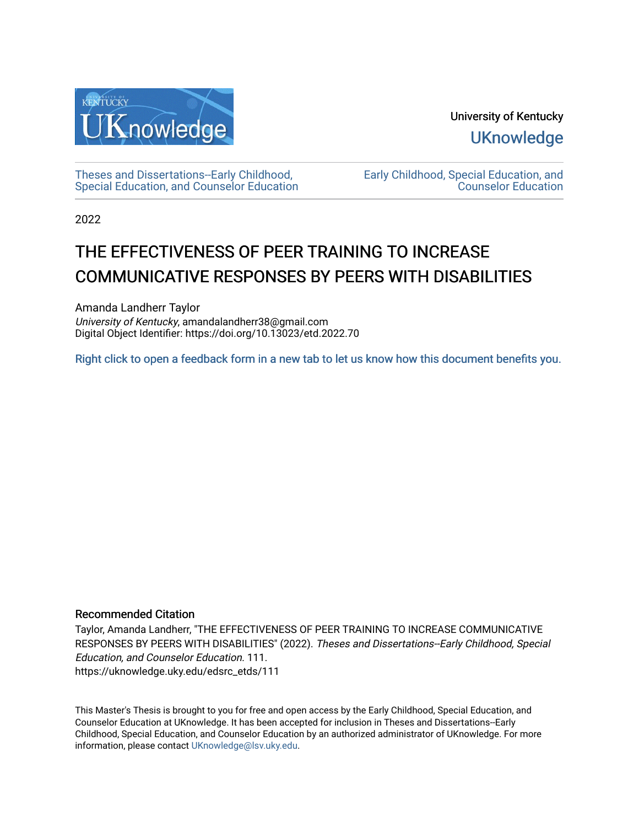

University of Kentucky **UKnowledge** 

[Theses and Dissertations--Early Childhood,](https://uknowledge.uky.edu/edsrc_etds)  [Special Education, and Counselor Education](https://uknowledge.uky.edu/edsrc_etds) [Early Childhood, Special Education, and](https://uknowledge.uky.edu/edsrc)  [Counselor Education](https://uknowledge.uky.edu/edsrc) 

2022

# THE EFFECTIVENESS OF PEER TRAINING TO INCREASE COMMUNICATIVE RESPONSES BY PEERS WITH DISABILITIES

Amanda Landherr Taylor University of Kentucky, amandalandherr38@gmail.com Digital Object Identifier: https://doi.org/10.13023/etd.2022.70

[Right click to open a feedback form in a new tab to let us know how this document benefits you.](https://uky.az1.qualtrics.com/jfe/form/SV_9mq8fx2GnONRfz7)

#### Recommended Citation

Taylor, Amanda Landherr, "THE EFFECTIVENESS OF PEER TRAINING TO INCREASE COMMUNICATIVE RESPONSES BY PEERS WITH DISABILITIES" (2022). Theses and Dissertations--Early Childhood, Special Education, and Counselor Education. 111. https://uknowledge.uky.edu/edsrc\_etds/111

This Master's Thesis is brought to you for free and open access by the Early Childhood, Special Education, and Counselor Education at UKnowledge. It has been accepted for inclusion in Theses and Dissertations--Early Childhood, Special Education, and Counselor Education by an authorized administrator of UKnowledge. For more information, please contact [UKnowledge@lsv.uky.edu](mailto:UKnowledge@lsv.uky.edu).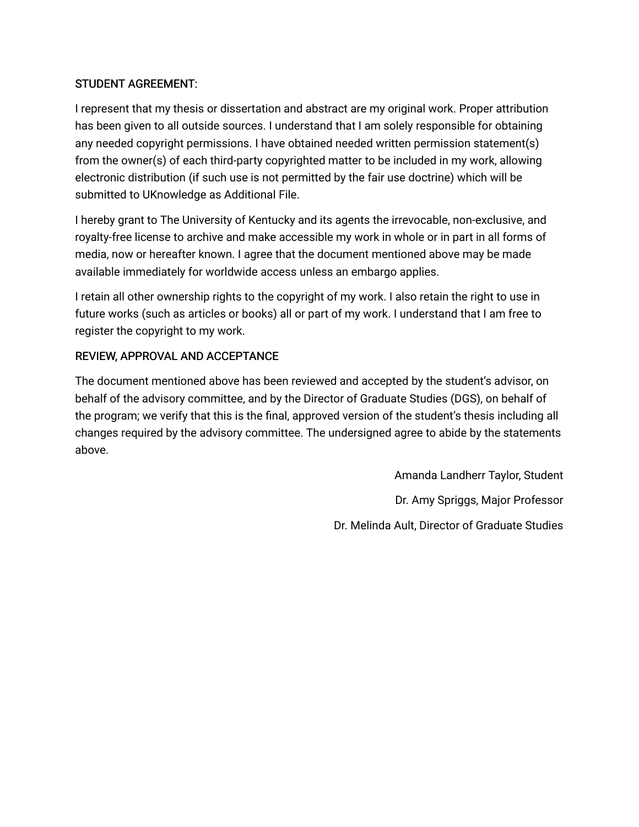### STUDENT AGREEMENT:

I represent that my thesis or dissertation and abstract are my original work. Proper attribution has been given to all outside sources. I understand that I am solely responsible for obtaining any needed copyright permissions. I have obtained needed written permission statement(s) from the owner(s) of each third-party copyrighted matter to be included in my work, allowing electronic distribution (if such use is not permitted by the fair use doctrine) which will be submitted to UKnowledge as Additional File.

I hereby grant to The University of Kentucky and its agents the irrevocable, non-exclusive, and royalty-free license to archive and make accessible my work in whole or in part in all forms of media, now or hereafter known. I agree that the document mentioned above may be made available immediately for worldwide access unless an embargo applies.

I retain all other ownership rights to the copyright of my work. I also retain the right to use in future works (such as articles or books) all or part of my work. I understand that I am free to register the copyright to my work.

### REVIEW, APPROVAL AND ACCEPTANCE

The document mentioned above has been reviewed and accepted by the student's advisor, on behalf of the advisory committee, and by the Director of Graduate Studies (DGS), on behalf of the program; we verify that this is the final, approved version of the student's thesis including all changes required by the advisory committee. The undersigned agree to abide by the statements above.

> Amanda Landherr Taylor, Student Dr. Amy Spriggs, Major Professor Dr. Melinda Ault, Director of Graduate Studies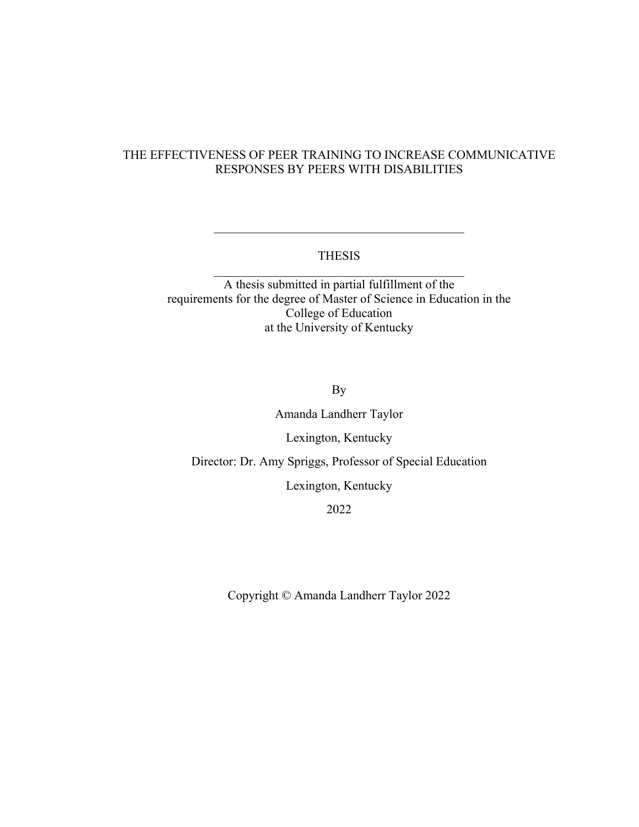### THE EFFECTIVENESS OF PEER TRAINING TO INCREASE COMMUNICATIVE RESPONSES BY PEERS WITH DISABILITIES

#### THESIS  $\mathcal{L}_\text{max}$  , and the set of the set of the set of the set of the set of the set of the set of the set of the set of the set of the set of the set of the set of the set of the set of the set of the set of the set of the

 $\mathcal{L}_\text{max}$  , and the set of the set of the set of the set of the set of the set of the set of the set of the set of the set of the set of the set of the set of the set of the set of the set of the set of the set of the

A thesis submitted in partial fulfillment of the requirements for the degree of Master of Science in Education in the College of Education at the University of Kentucky

By

Amanda Landherr Taylor

Lexington, Kentucky

Director: Dr. Amy Spriggs, Professor of Special Education

Lexington, Kentucky

2022

Copyright © Amanda Landherr Taylor 2022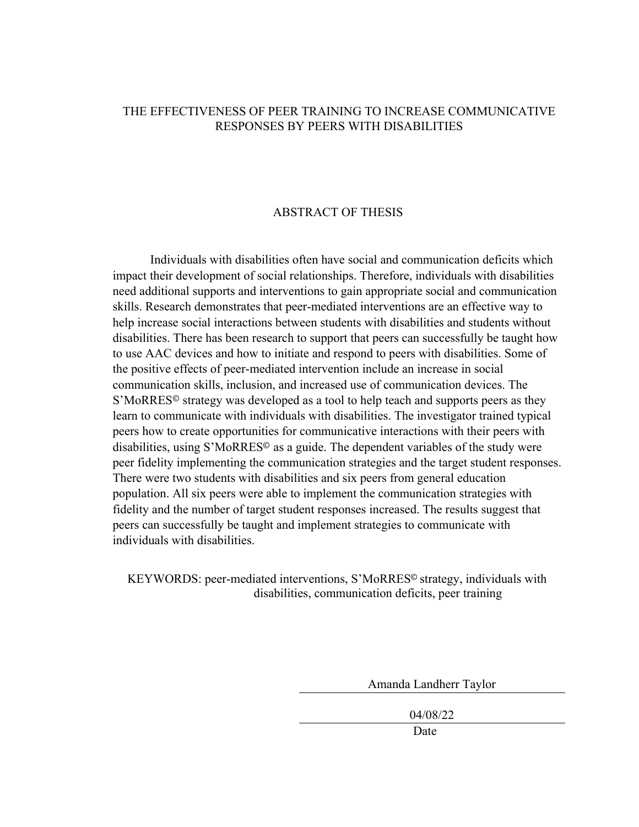#### THE EFFECTIVENESS OF PEER TRAINING TO INCREASE COMMUNICATIVE RESPONSES BY PEERS WITH DISABILITIES

#### ABSTRACT OF THESIS

Individuals with disabilities often have social and communication deficits which impact their development of social relationships. Therefore, individuals with disabilities need additional supports and interventions to gain appropriate social and communication skills. Research demonstrates that peer-mediated interventions are an effective way to help increase social interactions between students with disabilities and students without disabilities. There has been research to support that peers can successfully be taught how to use AAC devices and how to initiate and respond to peers with disabilities. Some of the positive effects of peer-mediated intervention include an increase in social communication skills, inclusion, and increased use of communication devices. The S'MoRRES© strategy was developed as a tool to help teach and supports peers as they learn to communicate with individuals with disabilities. The investigator trained typical peers how to create opportunities for communicative interactions with their peers with disabilities, using S'MoRRES© as a guide. The dependent variables of the study were peer fidelity implementing the communication strategies and the target student responses. There were two students with disabilities and six peers from general education population. All six peers were able to implement the communication strategies with fidelity and the number of target student responses increased. The results suggest that peers can successfully be taught and implement strategies to communicate with individuals with disabilities.

KEYWORDS: peer-mediated interventions, S'MoRRES© strategy, individuals with disabilities, communication deficits, peer training

Amanda Landherr Taylor

04/08/22

Date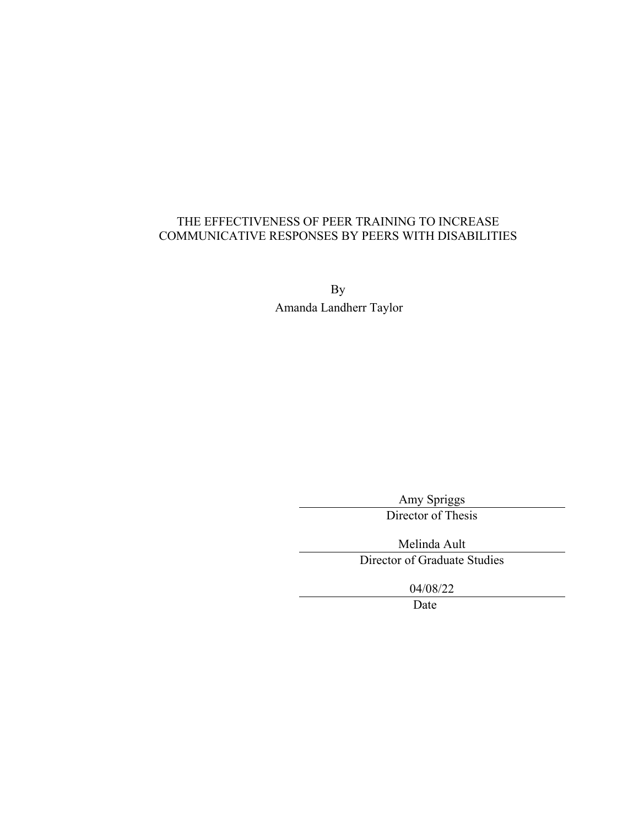### THE EFFECTIVENESS OF PEER TRAINING TO INCREASE COMMUNICATIVE RESPONSES BY PEERS WITH DISABILITIES

By Amanda Landherr Taylor

> Amy Spriggs Director of Thesis

Melinda Ault Director of Graduate Studies

04/08/22

Date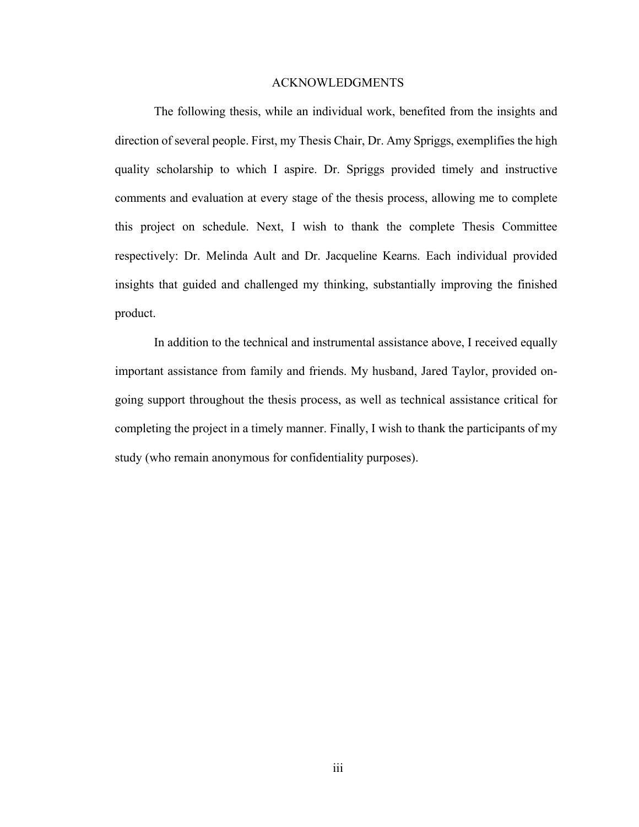#### ACKNOWLEDGMENTS

<span id="page-5-0"></span>The following thesis, while an individual work, benefited from the insights and direction of several people. First, my Thesis Chair, Dr. Amy Spriggs, exemplifies the high quality scholarship to which I aspire. Dr. Spriggs provided timely and instructive comments and evaluation at every stage of the thesis process, allowing me to complete this project on schedule. Next, I wish to thank the complete Thesis Committee respectively: Dr. Melinda Ault and Dr. Jacqueline Kearns. Each individual provided insights that guided and challenged my thinking, substantially improving the finished product.

In addition to the technical and instrumental assistance above, I received equally important assistance from family and friends. My husband, Jared Taylor, provided ongoing support throughout the thesis process, as well as technical assistance critical for completing the project in a timely manner. Finally, I wish to thank the participants of my study (who remain anonymous for confidentiality purposes).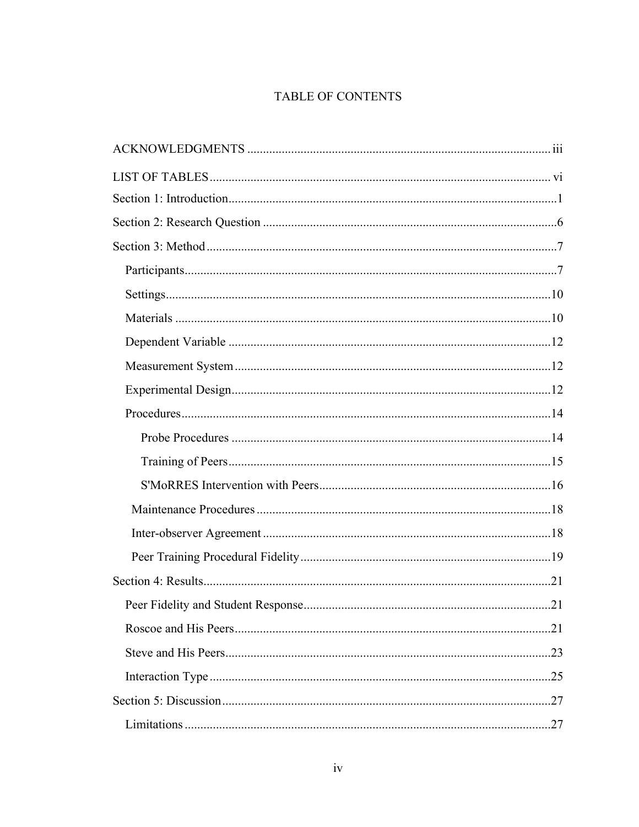### TABLE OF CONTENTS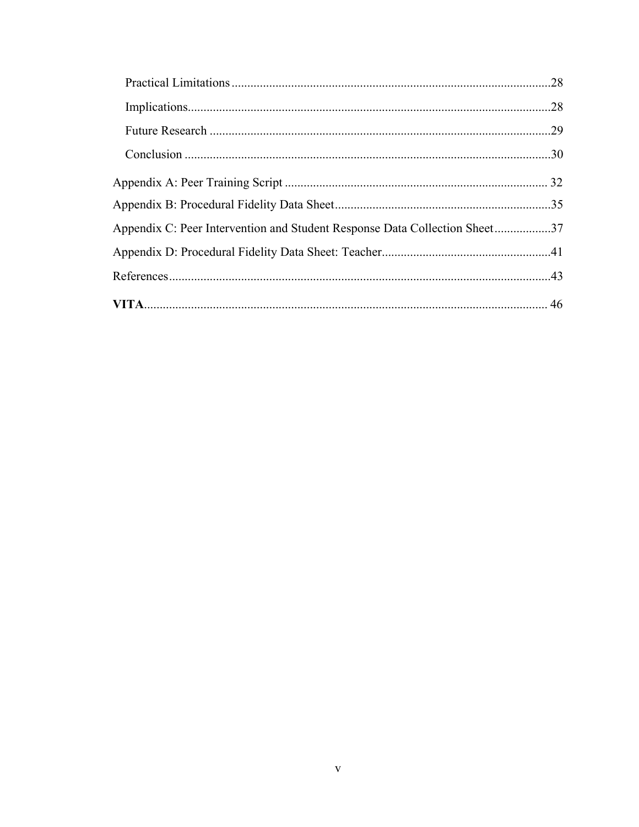| Appendix C: Peer Intervention and Student Response Data Collection Sheet37 |  |
|----------------------------------------------------------------------------|--|
|                                                                            |  |
|                                                                            |  |
|                                                                            |  |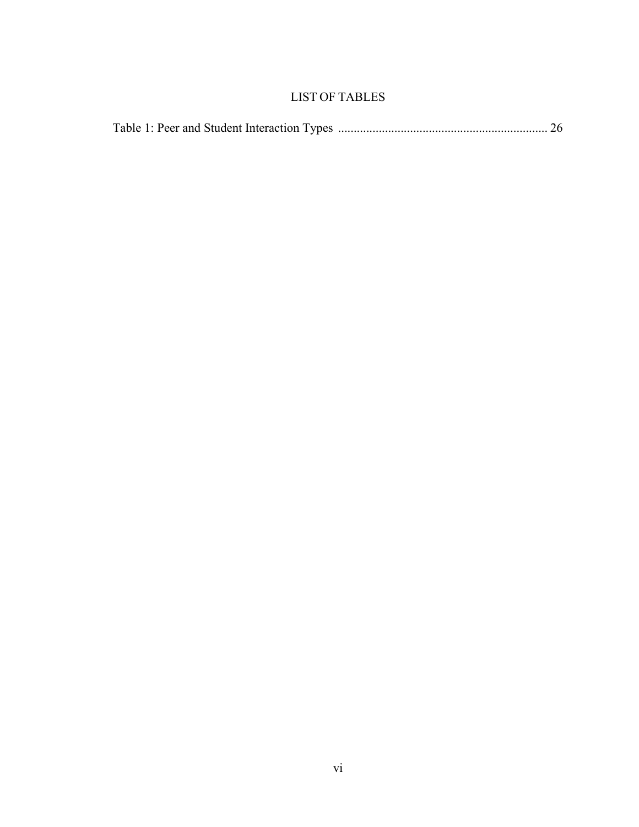### LIST OF TABLES

<span id="page-8-0"></span>

|--|--|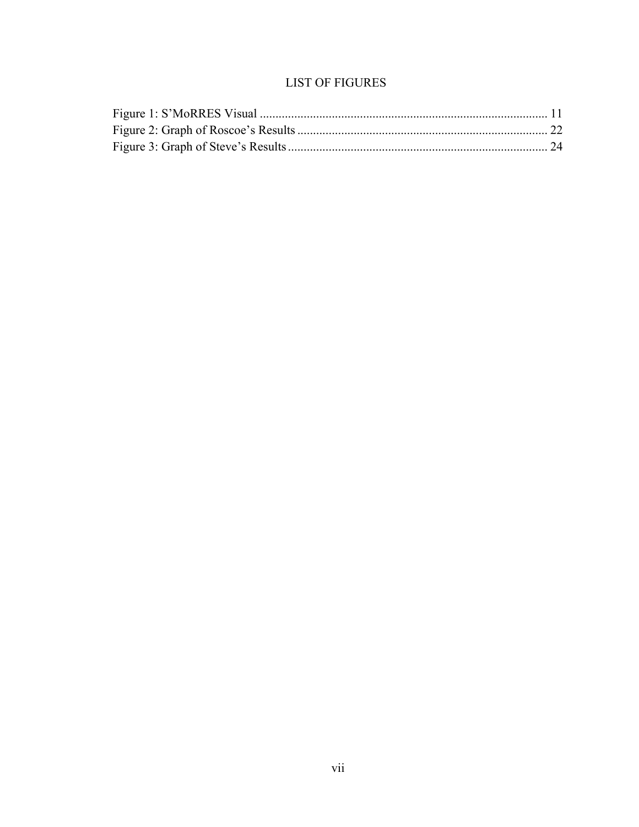### **LIST OF FIGURES**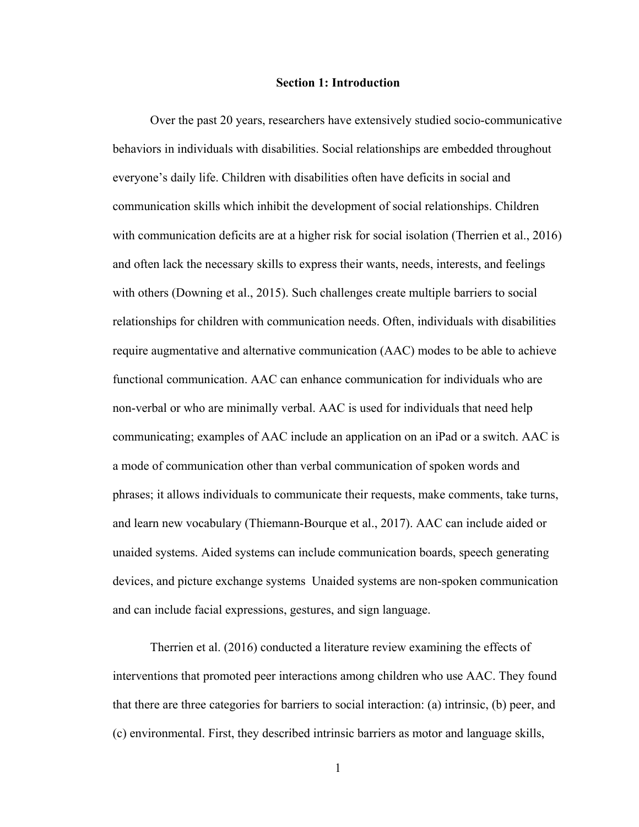#### **Section 1: Introduction**

<span id="page-10-0"></span>Over the past 20 years, researchers have extensively studied socio-communicative behaviors in individuals with disabilities. Social relationships are embedded throughout everyone's daily life. Children with disabilities often have deficits in social and communication skills which inhibit the development of social relationships. Children with communication deficits are at a higher risk for social isolation (Therrien et al., 2016) and often lack the necessary skills to express their wants, needs, interests, and feelings with others (Downing et al., 2015). Such challenges create multiple barriers to social relationships for children with communication needs. Often, individuals with disabilities require augmentative and alternative communication (AAC) modes to be able to achieve functional communication. AAC can enhance communication for individuals who are non-verbal or who are minimally verbal. AAC is used for individuals that need help communicating; examples of AAC include an application on an iPad or a switch. AAC is a mode of communication other than verbal communication of spoken words and phrases; it allows individuals to communicate their requests, make comments, take turns, and learn new vocabulary (Thiemann-Bourque et al., 2017). AAC can include aided or unaided systems. Aided systems can include communication boards, speech generating devices, and picture exchange systems Unaided systems are non-spoken communication and can include facial expressions, gestures, and sign language.

Therrien et al. (2016) conducted a literature review examining the effects of interventions that promoted peer interactions among children who use AAC. They found that there are three categories for barriers to social interaction: (a) intrinsic, (b) peer, and (c) environmental. First, they described intrinsic barriers as motor and language skills,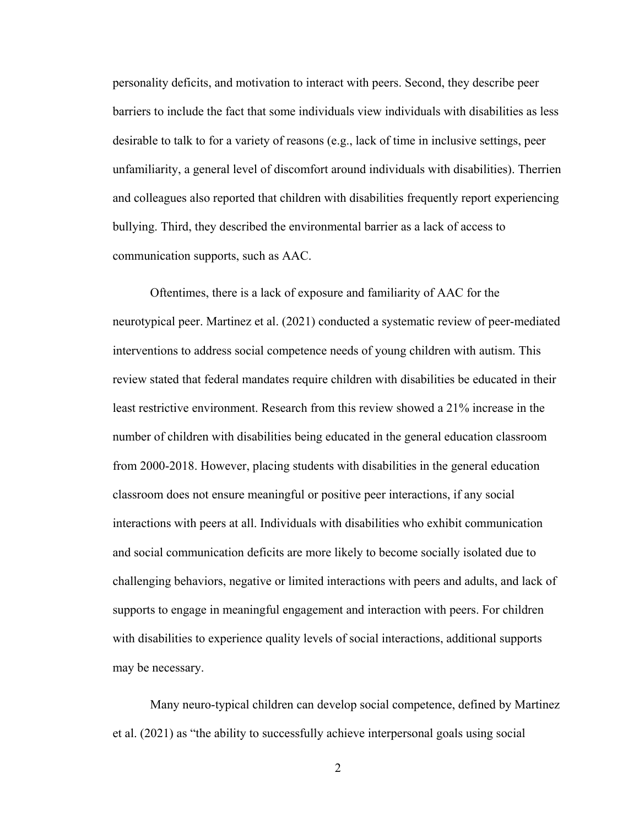personality deficits, and motivation to interact with peers. Second, they describe peer barriers to include the fact that some individuals view individuals with disabilities as less desirable to talk to for a variety of reasons (e.g., lack of time in inclusive settings, peer unfamiliarity, a general level of discomfort around individuals with disabilities). Therrien and colleagues also reported that children with disabilities frequently report experiencing bullying. Third, they described the environmental barrier as a lack of access to communication supports, such as AAC.

Oftentimes, there is a lack of exposure and familiarity of AAC for the neurotypical peer. Martinez et al. (2021) conducted a systematic review of peer-mediated interventions to address social competence needs of young children with autism. This review stated that federal mandates require children with disabilities be educated in their least restrictive environment. Research from this review showed a 21% increase in the number of children with disabilities being educated in the general education classroom from 2000-2018. However, placing students with disabilities in the general education classroom does not ensure meaningful or positive peer interactions, if any social interactions with peers at all. Individuals with disabilities who exhibit communication and social communication deficits are more likely to become socially isolated due to challenging behaviors, negative or limited interactions with peers and adults, and lack of supports to engage in meaningful engagement and interaction with peers. For children with disabilities to experience quality levels of social interactions, additional supports may be necessary.

Many neuro-typical children can develop social competence, defined by Martinez et al. (2021) as "the ability to successfully achieve interpersonal goals using social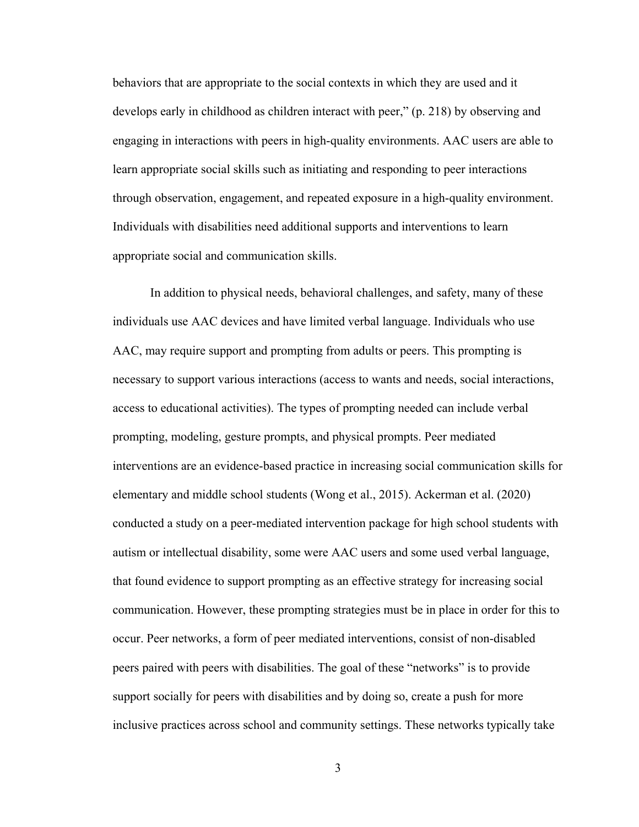behaviors that are appropriate to the social contexts in which they are used and it develops early in childhood as children interact with peer," (p. 218) by observing and engaging in interactions with peers in high-quality environments. AAC users are able to learn appropriate social skills such as initiating and responding to peer interactions through observation, engagement, and repeated exposure in a high-quality environment. Individuals with disabilities need additional supports and interventions to learn appropriate social and communication skills.

In addition to physical needs, behavioral challenges, and safety, many of these individuals use AAC devices and have limited verbal language. Individuals who use AAC, may require support and prompting from adults or peers. This prompting is necessary to support various interactions (access to wants and needs, social interactions, access to educational activities). The types of prompting needed can include verbal prompting, modeling, gesture prompts, and physical prompts. Peer mediated interventions are an evidence-based practice in increasing social communication skills for elementary and middle school students (Wong et al., 2015). Ackerman et al. (2020) conducted a study on a peer-mediated intervention package for high school students with autism or intellectual disability, some were AAC users and some used verbal language, that found evidence to support prompting as an effective strategy for increasing social communication. However, these prompting strategies must be in place in order for this to occur. Peer networks, a form of peer mediated interventions, consist of non-disabled peers paired with peers with disabilities. The goal of these "networks" is to provide support socially for peers with disabilities and by doing so, create a push for more inclusive practices across school and community settings. These networks typically take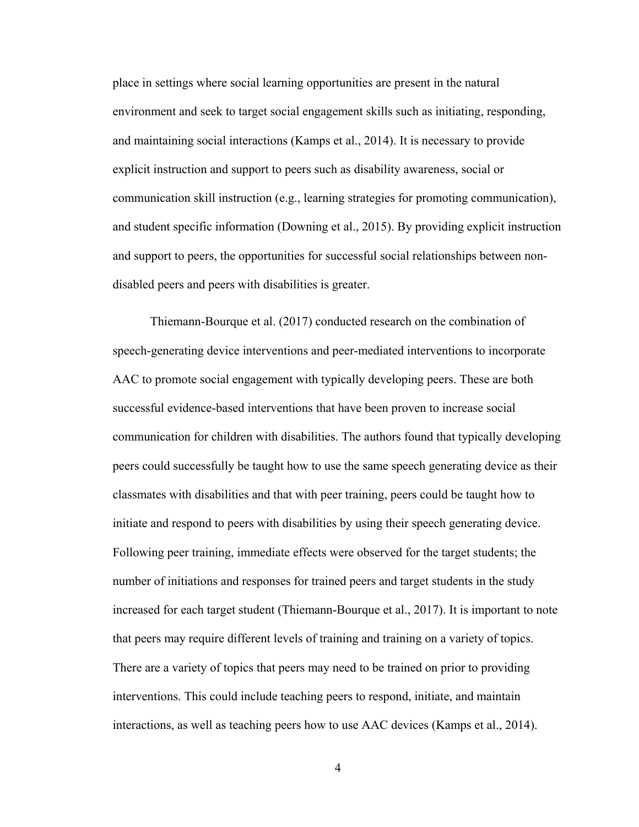place in settings where social learning opportunities are present in the natural environment and seek to target social engagement skills such as initiating, responding, and maintaining social interactions (Kamps et al., 2014). It is necessary to provide explicit instruction and support to peers such as disability awareness, social or communication skill instruction (e.g., learning strategies for promoting communication), and student specific information (Downing et al., 2015). By providing explicit instruction and support to peers, the opportunities for successful social relationships between nondisabled peers and peers with disabilities is greater.

Thiemann-Bourque et al. (2017) conducted research on the combination of speech-generating device interventions and peer-mediated interventions to incorporate AAC to promote social engagement with typically developing peers. These are both successful evidence-based interventions that have been proven to increase social communication for children with disabilities. The authors found that typically developing peers could successfully be taught how to use the same speech generating device as their classmates with disabilities and that with peer training, peers could be taught how to initiate and respond to peers with disabilities by using their speech generating device. Following peer training, immediate effects were observed for the target students; the number of initiations and responses for trained peers and target students in the study increased for each target student (Thiemann-Bourque et al., 2017). It is important to note that peers may require different levels of training and training on a variety of topics. There are a variety of topics that peers may need to be trained on prior to providing interventions. This could include teaching peers to respond, initiate, and maintain interactions, as well as teaching peers how to use AAC devices (Kamps et al., 2014).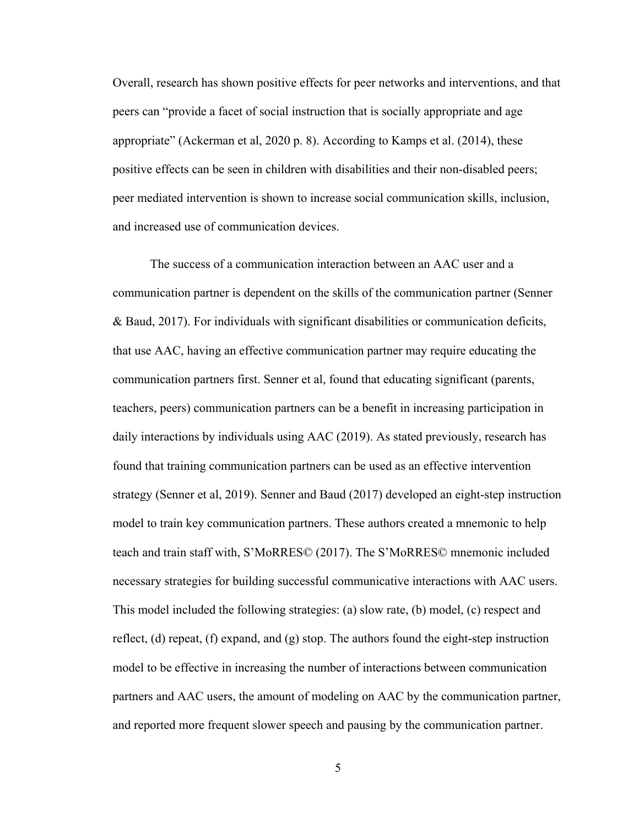Overall, research has shown positive effects for peer networks and interventions, and that peers can "provide a facet of social instruction that is socially appropriate and age appropriate" (Ackerman et al, 2020 p. 8). According to Kamps et al. (2014), these positive effects can be seen in children with disabilities and their non-disabled peers; peer mediated intervention is shown to increase social communication skills, inclusion, and increased use of communication devices.

The success of a communication interaction between an AAC user and a communication partner is dependent on the skills of the communication partner (Senner & Baud, 2017). For individuals with significant disabilities or communication deficits, that use AAC, having an effective communication partner may require educating the communication partners first. Senner et al, found that educating significant (parents, teachers, peers) communication partners can be a benefit in increasing participation in daily interactions by individuals using AAC (2019). As stated previously, research has found that training communication partners can be used as an effective intervention strategy (Senner et al, 2019). Senner and Baud (2017) developed an eight-step instruction model to train key communication partners. These authors created a mnemonic to help teach and train staff with, S'MoRRES© (2017). The S'MoRRES© mnemonic included necessary strategies for building successful communicative interactions with AAC users. This model included the following strategies: (a) slow rate, (b) model, (c) respect and reflect, (d) repeat, (f) expand, and (g) stop. The authors found the eight-step instruction model to be effective in increasing the number of interactions between communication partners and AAC users, the amount of modeling on AAC by the communication partner, and reported more frequent slower speech and pausing by the communication partner.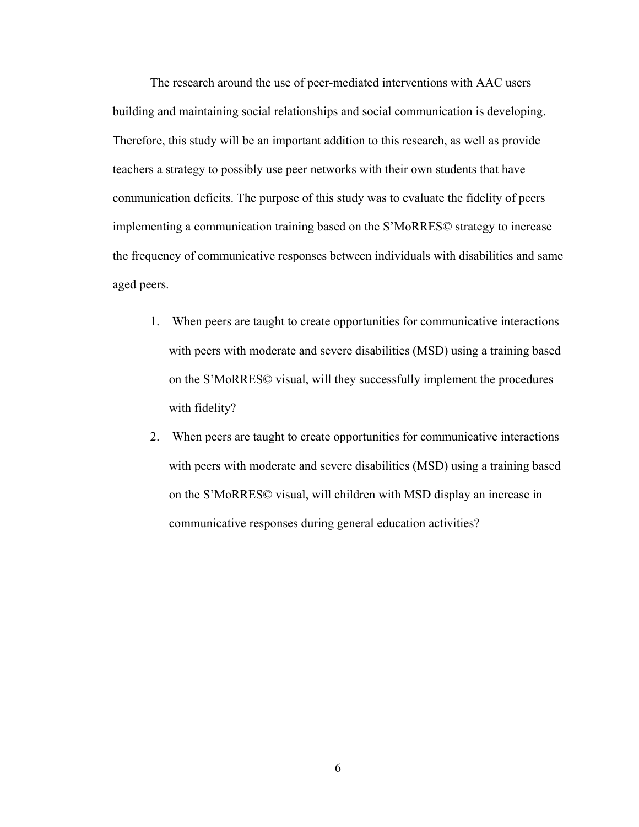The research around the use of peer-mediated interventions with AAC users building and maintaining social relationships and social communication is developing. Therefore, this study will be an important addition to this research, as well as provide teachers a strategy to possibly use peer networks with their own students that have communication deficits. The purpose of this study was to evaluate the fidelity of peers implementing a communication training based on the S'MoRRES© strategy to increase the frequency of communicative responses between individuals with disabilities and same aged peers.

- 1. When peers are taught to create opportunities for communicative interactions with peers with moderate and severe disabilities (MSD) using a training based on the S'MoRRES© visual, will they successfully implement the procedures with fidelity?
- 2. When peers are taught to create opportunities for communicative interactions with peers with moderate and severe disabilities (MSD) using a training based on the S'MoRRES© visual, will children with MSD display an increase in communicative responses during general education activities?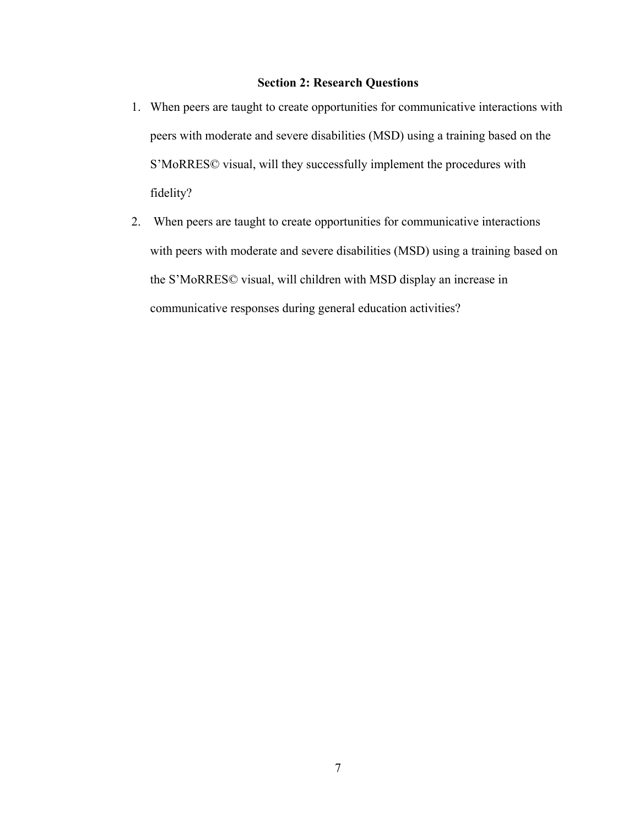#### **Section 2: Research Questions**

- <span id="page-16-0"></span>1. When peers are taught to create opportunities for communicative interactions with peers with moderate and severe disabilities (MSD) using a training based on the S'MoRRES© visual, will they successfully implement the procedures with fidelity?
- 2. When peers are taught to create opportunities for communicative interactions with peers with moderate and severe disabilities (MSD) using a training based on the S'MoRRES© visual, will children with MSD display an increase in communicative responses during general education activities?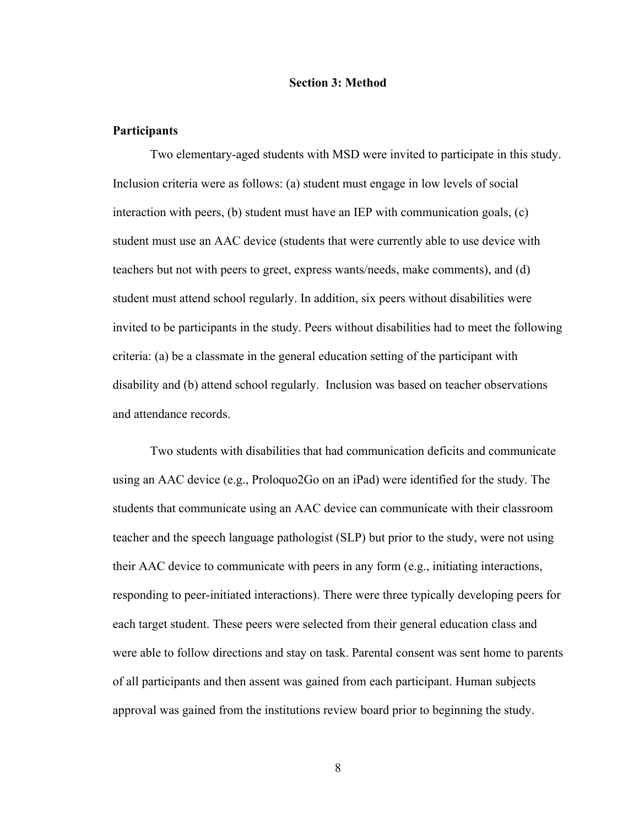#### **Section 3: Method**

#### <span id="page-17-0"></span>**Participants**

Two elementary-aged students with MSD were invited to participate in this study. Inclusion criteria were as follows: (a) student must engage in low levels of social interaction with peers, (b) student must have an IEP with communication goals, (c) student must use an AAC device (students that were currently able to use device with teachers but not with peers to greet, express wants/needs, make comments), and (d) student must attend school regularly. In addition, six peers without disabilities were invited to be participants in the study. Peers without disabilities had to meet the following criteria: (a) be a classmate in the general education setting of the participant with disability and (b) attend school regularly. Inclusion was based on teacher observations and attendance records.

Two students with disabilities that had communication deficits and communicate using an AAC device (e.g., Proloquo2Go on an iPad) were identified for the study. The students that communicate using an AAC device can communicate with their classroom teacher and the speech language pathologist (SLP) but prior to the study, were not using their AAC device to communicate with peers in any form (e.g., initiating interactions, responding to peer-initiated interactions). There were three typically developing peers for each target student. These peers were selected from their general education class and were able to follow directions and stay on task. Parental consent was sent home to parents of all participants and then assent was gained from each participant. Human subjects approval was gained from the institutions review board prior to beginning the study.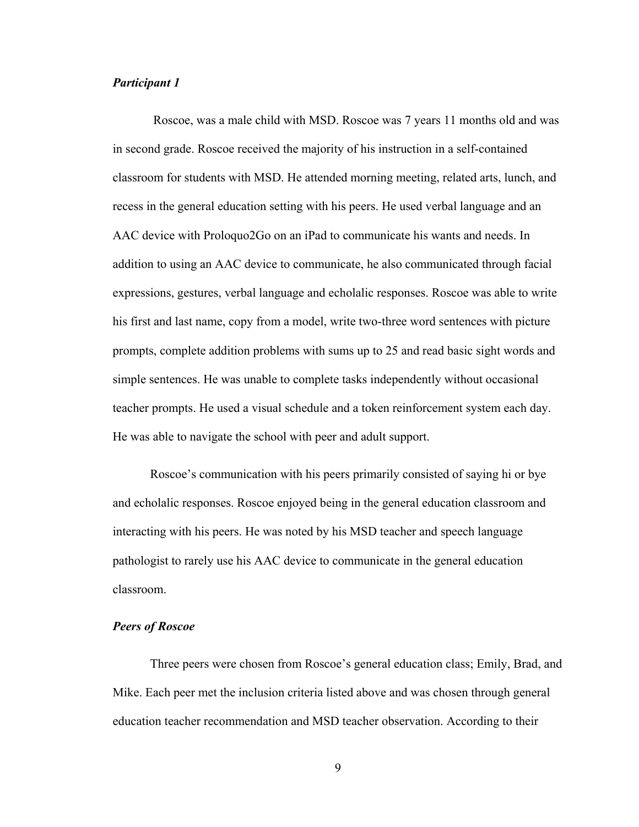#### *Participant 1*

Roscoe, was a male child with MSD. Roscoe was 7 years 11 months old and was in second grade. Roscoe received the majority of his instruction in a self-contained classroom for students with MSD. He attended morning meeting, related arts, lunch, and recess in the general education setting with his peers. He used verbal language and an AAC device with Proloquo2Go on an iPad to communicate his wants and needs. In addition to using an AAC device to communicate, he also communicated through facial expressions, gestures, verbal language and echolalic responses. Roscoe was able to write his first and last name, copy from a model, write two-three word sentences with picture prompts, complete addition problems with sums up to 25 and read basic sight words and simple sentences. He was unable to complete tasks independently without occasional teacher prompts. He used a visual schedule and a token reinforcement system each day. He was able to navigate the school with peer and adult support.

Roscoe's communication with his peers primarily consisted of saying hi or bye and echolalic responses. Roscoe enjoyed being in the general education classroom and interacting with his peers. He was noted by his MSD teacher and speech language pathologist to rarely use his AAC device to communicate in the general education classroom.

#### *Peers of Roscoe*

Three peers were chosen from Roscoe's general education class; Emily, Brad, and Mike. Each peer met the inclusion criteria listed above and was chosen through general education teacher recommendation and MSD teacher observation. According to their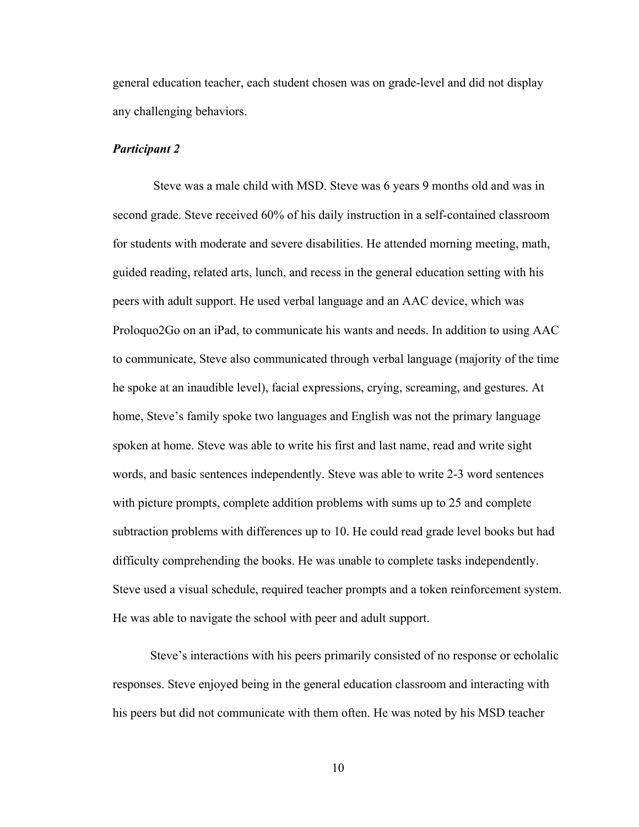general education teacher, each student chosen was on grade-level and did not display any challenging behaviors.

#### *Participant 2*

Steve was a male child with MSD. Steve was 6 years 9 months old and was in second grade. Steve received 60% of his daily instruction in a self-contained classroom for students with moderate and severe disabilities. He attended morning meeting, math, guided reading, related arts, lunch, and recess in the general education setting with his peers with adult support. He used verbal language and an AAC device, which was Proloquo2Go on an iPad, to communicate his wants and needs. In addition to using AAC to communicate, Steve also communicated through verbal language (majority of the time he spoke at an inaudible level), facial expressions, crying, screaming, and gestures. At home, Steve's family spoke two languages and English was not the primary language spoken at home. Steve was able to write his first and last name, read and write sight words, and basic sentences independently. Steve was able to write 2-3 word sentences with picture prompts, complete addition problems with sums up to 25 and complete subtraction problems with differences up to 10. He could read grade level books but had difficulty comprehending the books. He was unable to complete tasks independently. Steve used a visual schedule, required teacher prompts and a token reinforcement system. He was able to navigate the school with peer and adult support.

Steve's interactions with his peers primarily consisted of no response or echolalic responses. Steve enjoyed being in the general education classroom and interacting with his peers but did not communicate with them often. He was noted by his MSD teacher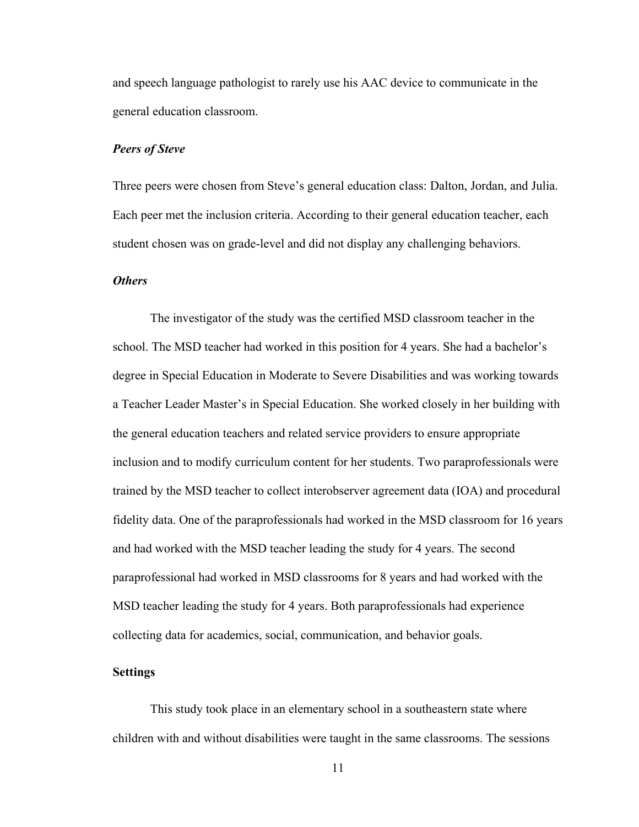and speech language pathologist to rarely use his AAC device to communicate in the general education classroom.

#### *Peers of Steve*

Three peers were chosen from Steve's general education class: Dalton, Jordan, and Julia. Each peer met the inclusion criteria. According to their general education teacher, each student chosen was on grade-level and did not display any challenging behaviors.

#### *Others*

The investigator of the study was the certified MSD classroom teacher in the school. The MSD teacher had worked in this position for 4 years. She had a bachelor's degree in Special Education in Moderate to Severe Disabilities and was working towards a Teacher Leader Master's in Special Education. She worked closely in her building with the general education teachers and related service providers to ensure appropriate inclusion and to modify curriculum content for her students. Two paraprofessionals were trained by the MSD teacher to collect interobserver agreement data (IOA) and procedural fidelity data. One of the paraprofessionals had worked in the MSD classroom for 16 years and had worked with the MSD teacher leading the study for 4 years. The second paraprofessional had worked in MSD classrooms for 8 years and had worked with the MSD teacher leading the study for 4 years. Both paraprofessionals had experience collecting data for academics, social, communication, and behavior goals.

#### <span id="page-20-0"></span>**Settings**

This study took place in an elementary school in a southeastern state where children with and without disabilities were taught in the same classrooms. The sessions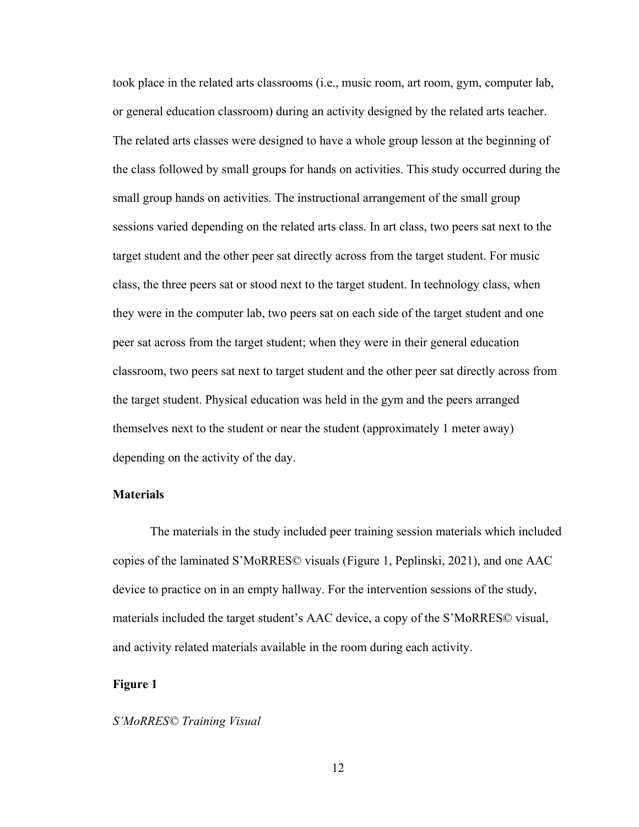took place in the related arts classrooms (i.e., music room, art room, gym, computer lab, or general education classroom) during an activity designed by the related arts teacher. The related arts classes were designed to have a whole group lesson at the beginning of the class followed by small groups for hands on activities. This study occurred during the small group hands on activities. The instructional arrangement of the small group sessions varied depending on the related arts class. In art class, two peers sat next to the target student and the other peer sat directly across from the target student. For music class, the three peers sat or stood next to the target student. In technology class, when they were in the computer lab, two peers sat on each side of the target student and one peer sat across from the target student; when they were in their general education classroom, two peers sat next to target student and the other peer sat directly across from the target student. Physical education was held in the gym and the peers arranged themselves next to the student or near the student (approximately 1 meter away) depending on the activity of the day.

#### **Materials**

The materials in the study included peer training session materials which included copies of the laminated S'MoRRES© visuals (Figure 1, Peplinski, 2021), and one AAC device to practice on in an empty hallway. For the intervention sessions of the study, materials included the target student's AAC device, a copy of the S'MoRRES© visual, and activity related materials available in the room during each activity.

#### <span id="page-21-0"></span>**Figure 1**

#### *S'MoRRES© Training Visual*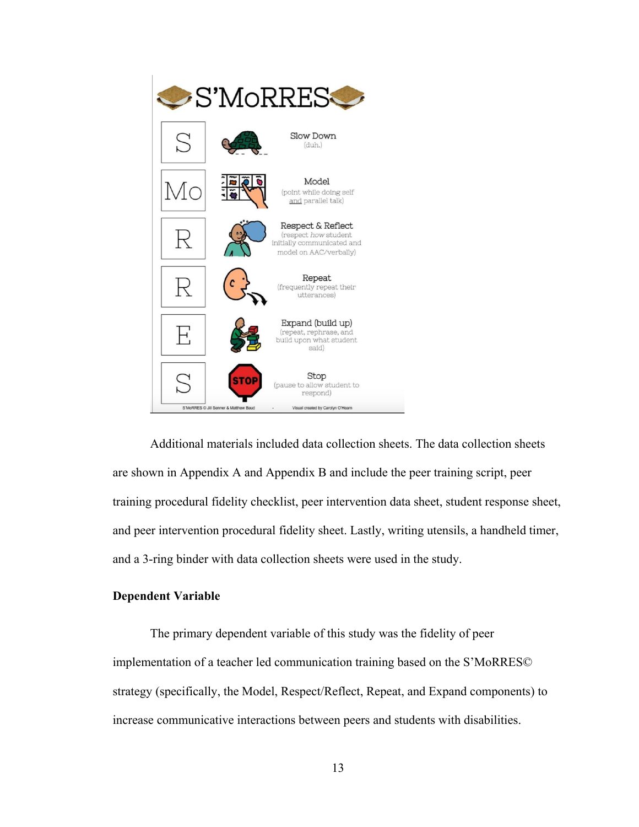

Additional materials included data collection sheets. The data collection sheets are shown in Appendix A and Appendix B and include the peer training script, peer training procedural fidelity checklist, peer intervention data sheet, student response sheet, and peer intervention procedural fidelity sheet. Lastly, writing utensils, a handheld timer, and a 3-ring binder with data collection sheets were used in the study.

#### <span id="page-22-0"></span>**Dependent Variable**

The primary dependent variable of this study was the fidelity of peer implementation of a teacher led communication training based on the S'MoRRES© strategy (specifically, the Model, Respect/Reflect, Repeat, and Expand components) to increase communicative interactions between peers and students with disabilities.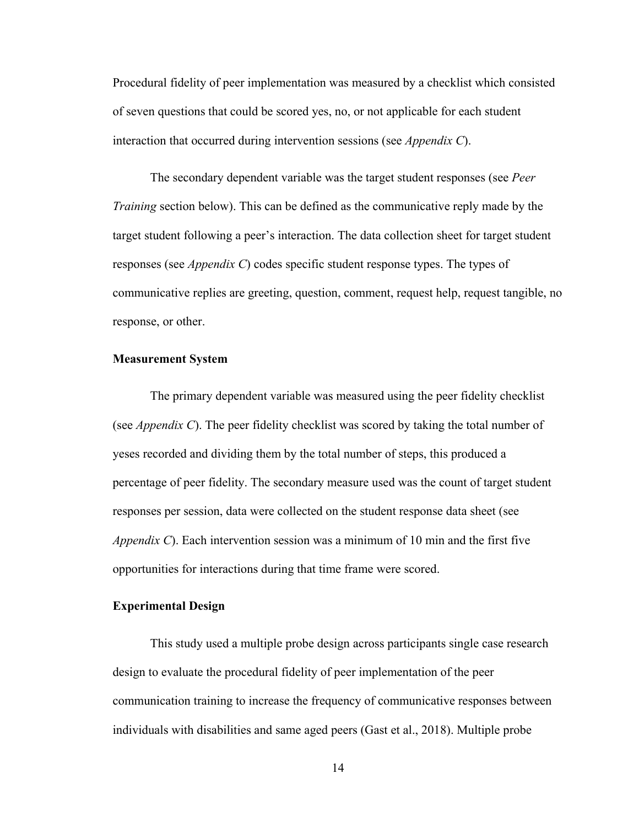Procedural fidelity of peer implementation was measured by a checklist which consisted of seven questions that could be scored yes, no, or not applicable for each student interaction that occurred during intervention sessions (see *Appendix C*).

The secondary dependent variable was the target student responses (see *Peer Training* section below). This can be defined as the communicative reply made by the target student following a peer's interaction. The data collection sheet for target student responses (see *Appendix C*) codes specific student response types. The types of communicative replies are greeting, question, comment, request help, request tangible, no response, or other.

#### **Measurement System**

The primary dependent variable was measured using the peer fidelity checklist (see *Appendix C*). The peer fidelity checklist was scored by taking the total number of yeses recorded and dividing them by the total number of steps, this produced a percentage of peer fidelity. The secondary measure used was the count of target student responses per session, data were collected on the student response data sheet (see *Appendix C*). Each intervention session was a minimum of 10 min and the first five opportunities for interactions during that time frame were scored.

#### **Experimental Design**

This study used a multiple probe design across participants single case research design to evaluate the procedural fidelity of peer implementation of the peer communication training to increase the frequency of communicative responses between individuals with disabilities and same aged peers (Gast et al., 2018). Multiple probe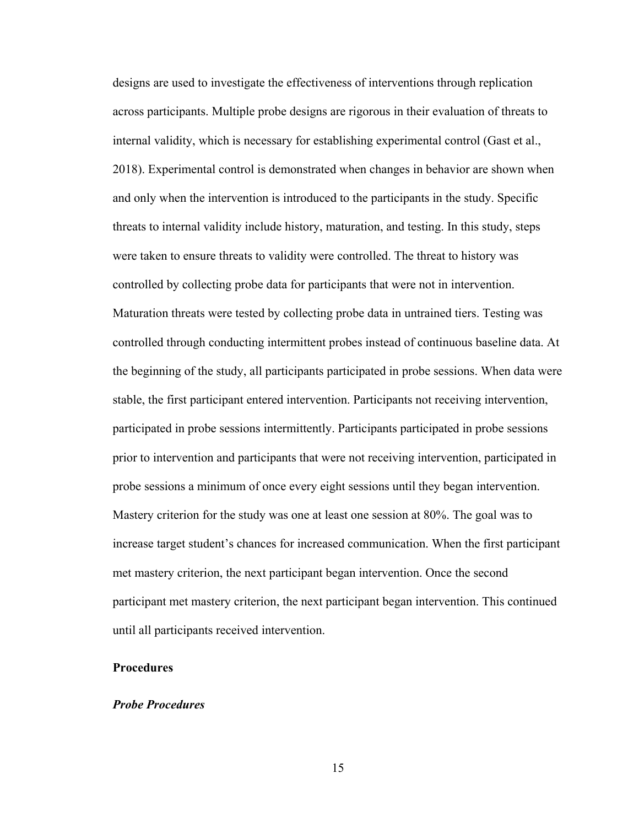designs are used to investigate the effectiveness of interventions through replication across participants. Multiple probe designs are rigorous in their evaluation of threats to internal validity, which is necessary for establishing experimental control (Gast et al., 2018). Experimental control is demonstrated when changes in behavior are shown when and only when the intervention is introduced to the participants in the study. Specific threats to internal validity include history, maturation, and testing. In this study, steps were taken to ensure threats to validity were controlled. The threat to history was controlled by collecting probe data for participants that were not in intervention. Maturation threats were tested by collecting probe data in untrained tiers. Testing was controlled through conducting intermittent probes instead of continuous baseline data. At the beginning of the study, all participants participated in probe sessions. When data were stable, the first participant entered intervention. Participants not receiving intervention, participated in probe sessions intermittently. Participants participated in probe sessions prior to intervention and participants that were not receiving intervention, participated in probe sessions a minimum of once every eight sessions until they began intervention. Mastery criterion for the study was one at least one session at 80%. The goal was to increase target student's chances for increased communication. When the first participant met mastery criterion, the next participant began intervention. Once the second participant met mastery criterion, the next participant began intervention. This continued until all participants received intervention.

#### <span id="page-24-0"></span>**Procedures**

#### *Probe Procedures*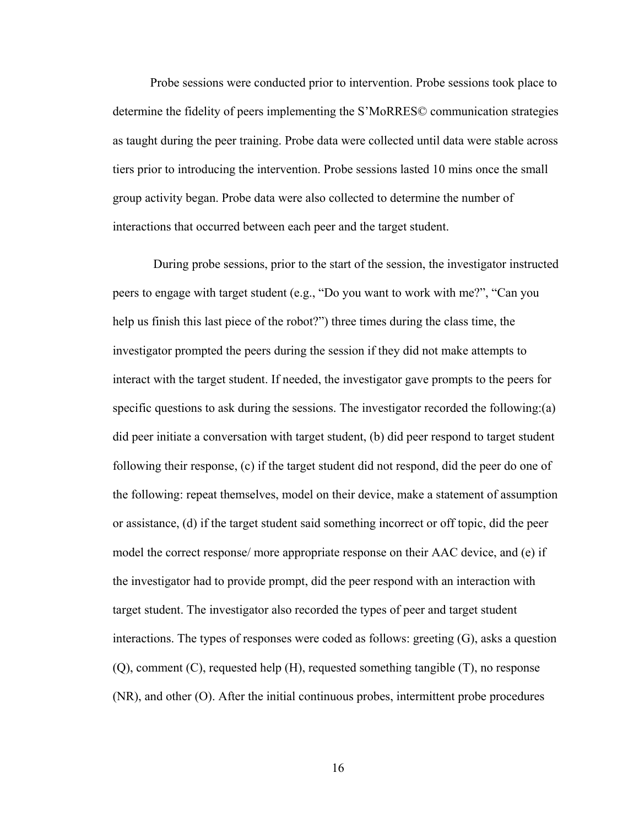Probe sessions were conducted prior to intervention. Probe sessions took place to determine the fidelity of peers implementing the S'MoRRES© communication strategies as taught during the peer training. Probe data were collected until data were stable across tiers prior to introducing the intervention. Probe sessions lasted 10 mins once the small group activity began. Probe data were also collected to determine the number of interactions that occurred between each peer and the target student.

During probe sessions, prior to the start of the session, the investigator instructed peers to engage with target student (e.g., "Do you want to work with me?", "Can you help us finish this last piece of the robot?") three times during the class time, the investigator prompted the peers during the session if they did not make attempts to interact with the target student. If needed, the investigator gave prompts to the peers for specific questions to ask during the sessions. The investigator recorded the following:(a) did peer initiate a conversation with target student, (b) did peer respond to target student following their response, (c) if the target student did not respond, did the peer do one of the following: repeat themselves, model on their device, make a statement of assumption or assistance, (d) if the target student said something incorrect or off topic, did the peer model the correct response/ more appropriate response on their AAC device, and (e) if the investigator had to provide prompt, did the peer respond with an interaction with target student. The investigator also recorded the types of peer and target student interactions. The types of responses were coded as follows: greeting (G), asks a question (Q), comment (C), requested help (H), requested something tangible (T), no response (NR), and other (O). After the initial continuous probes, intermittent probe procedures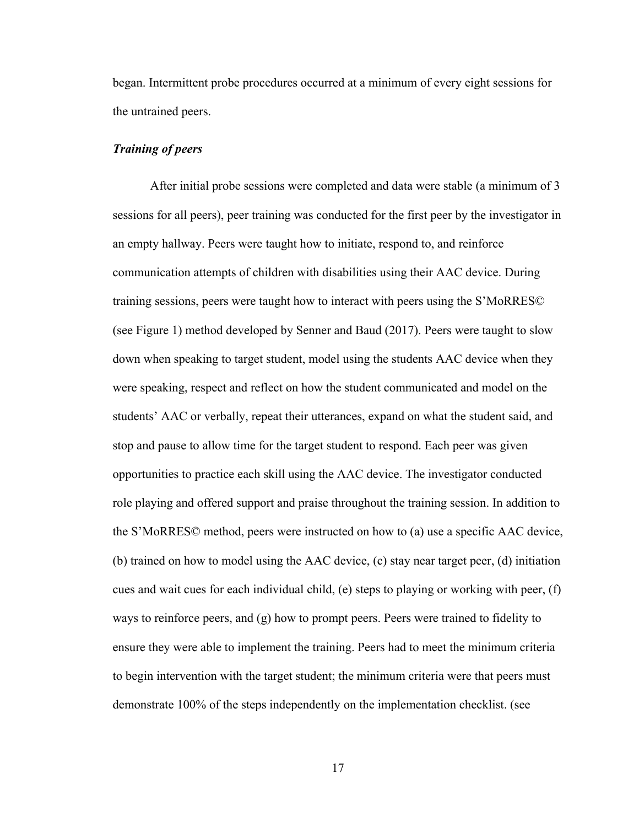began. Intermittent probe procedures occurred at a minimum of every eight sessions for the untrained peers.

#### <span id="page-26-0"></span>*Training of peers*

After initial probe sessions were completed and data were stable (a minimum of 3 sessions for all peers), peer training was conducted for the first peer by the investigator in an empty hallway. Peers were taught how to initiate, respond to, and reinforce communication attempts of children with disabilities using their AAC device. During training sessions, peers were taught how to interact with peers using the S'MoRRES© (see Figure 1) method developed by Senner and Baud (2017). Peers were taught to slow down when speaking to target student, model using the students AAC device when they were speaking, respect and reflect on how the student communicated and model on the students' AAC or verbally, repeat their utterances, expand on what the student said, and stop and pause to allow time for the target student to respond. Each peer was given opportunities to practice each skill using the AAC device. The investigator conducted role playing and offered support and praise throughout the training session. In addition to the S'MoRRES© method, peers were instructed on how to (a) use a specific AAC device, (b) trained on how to model using the AAC device, (c) stay near target peer, (d) initiation cues and wait cues for each individual child, (e) steps to playing or working with peer, (f) ways to reinforce peers, and (g) how to prompt peers. Peers were trained to fidelity to ensure they were able to implement the training. Peers had to meet the minimum criteria to begin intervention with the target student; the minimum criteria were that peers must demonstrate 100% of the steps independently on the implementation checklist. (see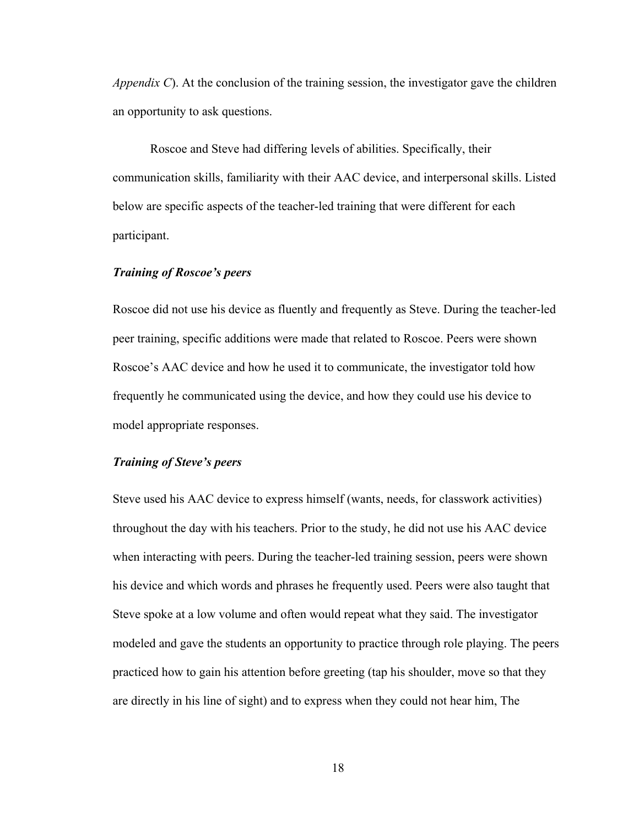*Appendix C*). At the conclusion of the training session, the investigator gave the children an opportunity to ask questions.

Roscoe and Steve had differing levels of abilities. Specifically, their communication skills, familiarity with their AAC device, and interpersonal skills. Listed below are specific aspects of the teacher-led training that were different for each participant.

#### *Training of Roscoe's peers*

Roscoe did not use his device as fluently and frequently as Steve. During the teacher-led peer training, specific additions were made that related to Roscoe. Peers were shown Roscoe's AAC device and how he used it to communicate, the investigator told how frequently he communicated using the device, and how they could use his device to model appropriate responses.

#### *Training of Steve's peers*

Steve used his AAC device to express himself (wants, needs, for classwork activities) throughout the day with his teachers. Prior to the study, he did not use his AAC device when interacting with peers. During the teacher-led training session, peers were shown his device and which words and phrases he frequently used. Peers were also taught that Steve spoke at a low volume and often would repeat what they said. The investigator modeled and gave the students an opportunity to practice through role playing. The peers practiced how to gain his attention before greeting (tap his shoulder, move so that they are directly in his line of sight) and to express when they could not hear him, The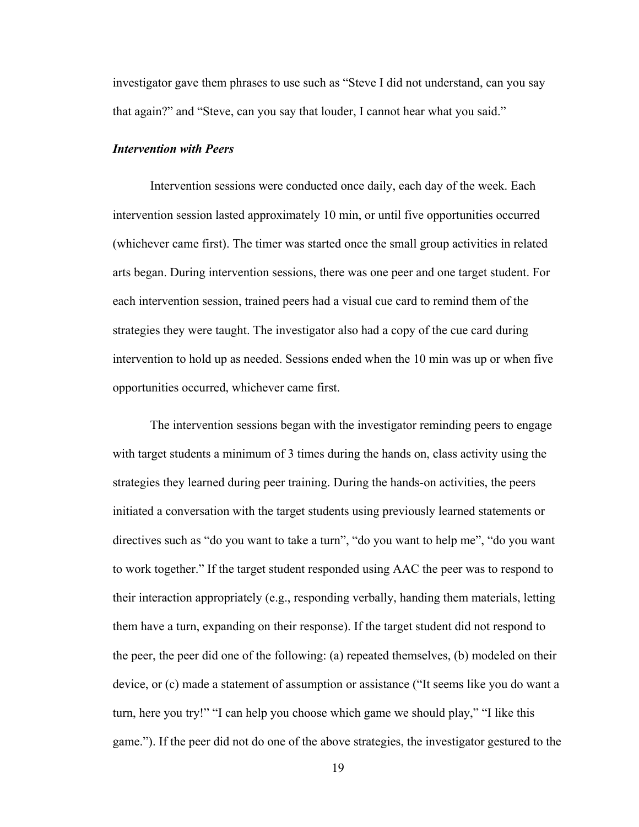investigator gave them phrases to use such as "Steve I did not understand, can you say that again?" and "Steve, can you say that louder, I cannot hear what you said."

#### <span id="page-28-0"></span>*Intervention with Peers*

Intervention sessions were conducted once daily, each day of the week. Each intervention session lasted approximately 10 min, or until five opportunities occurred (whichever came first). The timer was started once the small group activities in related arts began. During intervention sessions, there was one peer and one target student. For each intervention session, trained peers had a visual cue card to remind them of the strategies they were taught. The investigator also had a copy of the cue card during intervention to hold up as needed. Sessions ended when the 10 min was up or when five opportunities occurred, whichever came first.

The intervention sessions began with the investigator reminding peers to engage with target students a minimum of 3 times during the hands on, class activity using the strategies they learned during peer training. During the hands-on activities, the peers initiated a conversation with the target students using previously learned statements or directives such as "do you want to take a turn", "do you want to help me", "do you want to work together." If the target student responded using AAC the peer was to respond to their interaction appropriately (e.g., responding verbally, handing them materials, letting them have a turn, expanding on their response). If the target student did not respond to the peer, the peer did one of the following: (a) repeated themselves, (b) modeled on their device, or (c) made a statement of assumption or assistance ("It seems like you do want a turn, here you try!" "I can help you choose which game we should play," "I like this game."). If the peer did not do one of the above strategies, the investigator gestured to the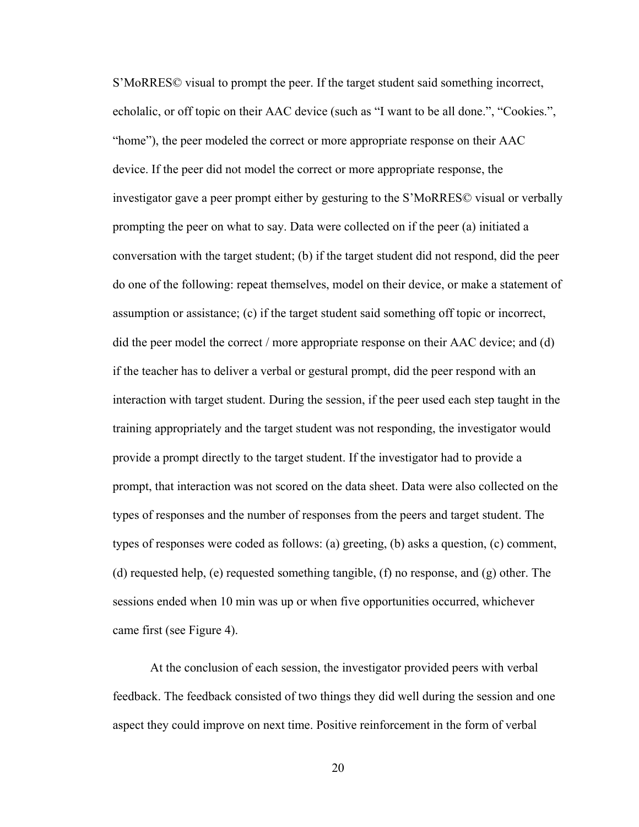S'MoRRES© visual to prompt the peer. If the target student said something incorrect, echolalic, or off topic on their AAC device (such as "I want to be all done.", "Cookies.", "home"), the peer modeled the correct or more appropriate response on their AAC device. If the peer did not model the correct or more appropriate response, the investigator gave a peer prompt either by gesturing to the S'MoRRES© visual or verbally prompting the peer on what to say. Data were collected on if the peer (a) initiated a conversation with the target student; (b) if the target student did not respond, did the peer do one of the following: repeat themselves, model on their device, or make a statement of assumption or assistance; (c) if the target student said something off topic or incorrect, did the peer model the correct / more appropriate response on their AAC device; and (d) if the teacher has to deliver a verbal or gestural prompt, did the peer respond with an interaction with target student. During the session, if the peer used each step taught in the training appropriately and the target student was not responding, the investigator would provide a prompt directly to the target student. If the investigator had to provide a prompt, that interaction was not scored on the data sheet. Data were also collected on the types of responses and the number of responses from the peers and target student. The types of responses were coded as follows: (a) greeting, (b) asks a question, (c) comment, (d) requested help, (e) requested something tangible, (f) no response, and (g) other. The sessions ended when 10 min was up or when five opportunities occurred, whichever came first (see Figure 4).

At the conclusion of each session, the investigator provided peers with verbal feedback. The feedback consisted of two things they did well during the session and one aspect they could improve on next time. Positive reinforcement in the form of verbal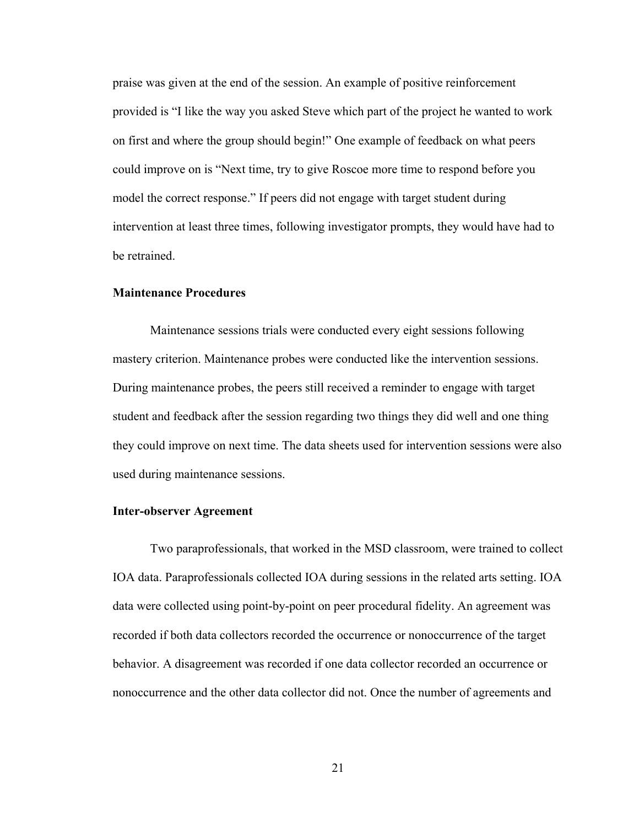praise was given at the end of the session. An example of positive reinforcement provided is "I like the way you asked Steve which part of the project he wanted to work on first and where the group should begin!" One example of feedback on what peers could improve on is "Next time, try to give Roscoe more time to respond before you model the correct response." If peers did not engage with target student during intervention at least three times, following investigator prompts, they would have had to be retrained.

#### <span id="page-30-0"></span>**Maintenance Procedures**

Maintenance sessions trials were conducted every eight sessions following mastery criterion. Maintenance probes were conducted like the intervention sessions. During maintenance probes, the peers still received a reminder to engage with target student and feedback after the session regarding two things they did well and one thing they could improve on next time. The data sheets used for intervention sessions were also used during maintenance sessions.

#### **Inter-observer Agreement**

Two paraprofessionals, that worked in the MSD classroom, were trained to collect IOA data. Paraprofessionals collected IOA during sessions in the related arts setting. IOA data were collected using point-by-point on peer procedural fidelity. An agreement was recorded if both data collectors recorded the occurrence or nonoccurrence of the target behavior. A disagreement was recorded if one data collector recorded an occurrence or nonoccurrence and the other data collector did not. Once the number of agreements and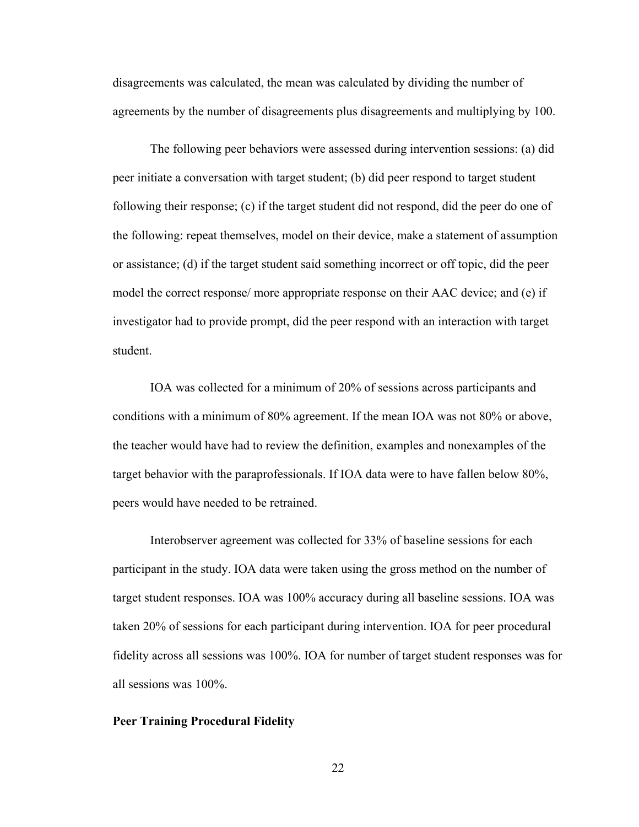disagreements was calculated, the mean was calculated by dividing the number of agreements by the number of disagreements plus disagreements and multiplying by 100.

The following peer behaviors were assessed during intervention sessions: (a) did peer initiate a conversation with target student; (b) did peer respond to target student following their response; (c) if the target student did not respond, did the peer do one of the following: repeat themselves, model on their device, make a statement of assumption or assistance; (d) if the target student said something incorrect or off topic, did the peer model the correct response/ more appropriate response on their AAC device; and (e) if investigator had to provide prompt, did the peer respond with an interaction with target student.

IOA was collected for a minimum of 20% of sessions across participants and conditions with a minimum of 80% agreement. If the mean IOA was not 80% or above, the teacher would have had to review the definition, examples and nonexamples of the target behavior with the paraprofessionals. If IOA data were to have fallen below 80%, peers would have needed to be retrained.

Interobserver agreement was collected for 33% of baseline sessions for each participant in the study. IOA data were taken using the gross method on the number of target student responses. IOA was 100% accuracy during all baseline sessions. IOA was taken 20% of sessions for each participant during intervention. IOA for peer procedural fidelity across all sessions was 100%. IOA for number of target student responses was for all sessions was 100%.

#### <span id="page-31-0"></span>**Peer Training Procedural Fidelity**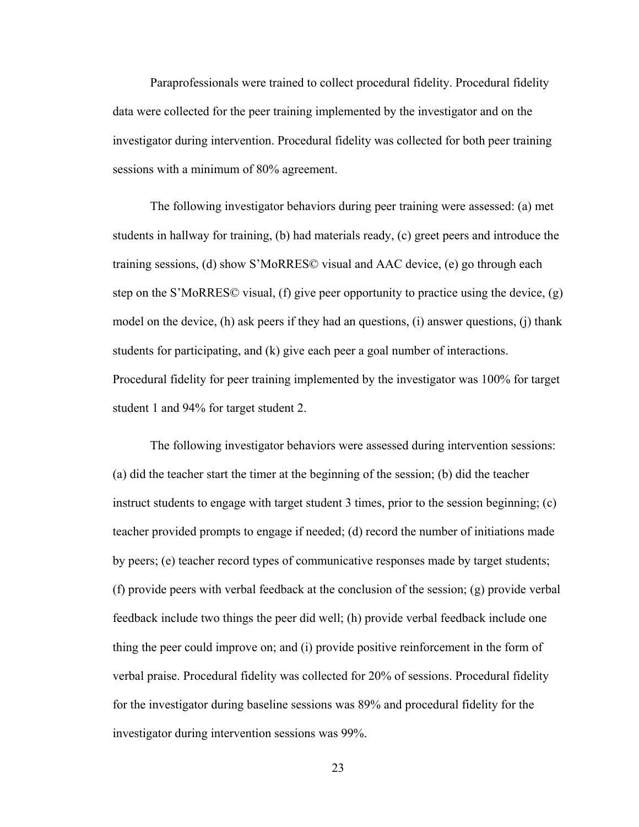Paraprofessionals were trained to collect procedural fidelity. Procedural fidelity data were collected for the peer training implemented by the investigator and on the investigator during intervention. Procedural fidelity was collected for both peer training sessions with a minimum of 80% agreement.

The following investigator behaviors during peer training were assessed: (a) met students in hallway for training, (b) had materials ready, (c) greet peers and introduce the training sessions, (d) show S'MoRRES© visual and AAC device, (e) go through each step on the S'MoRRES© visual, (f) give peer opportunity to practice using the device, (g) model on the device, (h) ask peers if they had an questions, (i) answer questions, (j) thank students for participating, and (k) give each peer a goal number of interactions. Procedural fidelity for peer training implemented by the investigator was 100% for target student 1 and 94% for target student 2.

The following investigator behaviors were assessed during intervention sessions: (a) did the teacher start the timer at the beginning of the session; (b) did the teacher instruct students to engage with target student 3 times, prior to the session beginning; (c) teacher provided prompts to engage if needed; (d) record the number of initiations made by peers; (e) teacher record types of communicative responses made by target students; (f) provide peers with verbal feedback at the conclusion of the session; (g) provide verbal feedback include two things the peer did well; (h) provide verbal feedback include one thing the peer could improve on; and (i) provide positive reinforcement in the form of verbal praise. Procedural fidelity was collected for 20% of sessions. Procedural fidelity for the investigator during baseline sessions was 89% and procedural fidelity for the investigator during intervention sessions was 99%.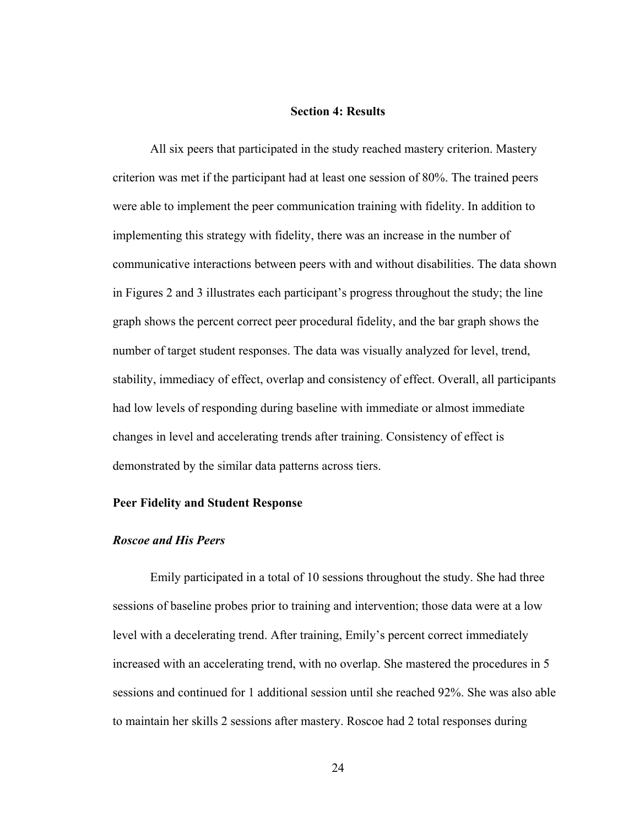#### **Section 4: Results**

<span id="page-33-0"></span>All six peers that participated in the study reached mastery criterion. Mastery criterion was met if the participant had at least one session of 80%. The trained peers were able to implement the peer communication training with fidelity. In addition to implementing this strategy with fidelity, there was an increase in the number of communicative interactions between peers with and without disabilities. The data shown in Figures 2 and 3 illustrates each participant's progress throughout the study; the line graph shows the percent correct peer procedural fidelity, and the bar graph shows the number of target student responses. The data was visually analyzed for level, trend, stability, immediacy of effect, overlap and consistency of effect. Overall, all participants had low levels of responding during baseline with immediate or almost immediate changes in level and accelerating trends after training. Consistency of effect is demonstrated by the similar data patterns across tiers.

#### **Peer Fidelity and Student Response**

#### *Roscoe and His Peers*

Emily participated in a total of 10 sessions throughout the study. She had three sessions of baseline probes prior to training and intervention; those data were at a low level with a decelerating trend. After training, Emily's percent correct immediately increased with an accelerating trend, with no overlap. She mastered the procedures in 5 sessions and continued for 1 additional session until she reached 92%. She was also able to maintain her skills 2 sessions after mastery. Roscoe had 2 total responses during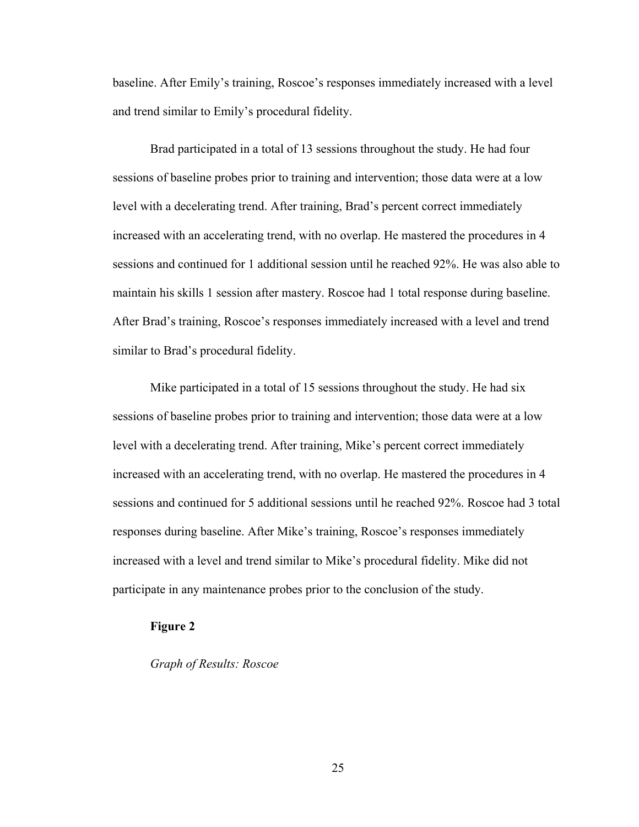baseline. After Emily's training, Roscoe's responses immediately increased with a level and trend similar to Emily's procedural fidelity.

Brad participated in a total of 13 sessions throughout the study. He had four sessions of baseline probes prior to training and intervention; those data were at a low level with a decelerating trend. After training, Brad's percent correct immediately increased with an accelerating trend, with no overlap. He mastered the procedures in 4 sessions and continued for 1 additional session until he reached 92%. He was also able to maintain his skills 1 session after mastery. Roscoe had 1 total response during baseline. After Brad's training, Roscoe's responses immediately increased with a level and trend similar to Brad's procedural fidelity.

Mike participated in a total of 15 sessions throughout the study. He had six sessions of baseline probes prior to training and intervention; those data were at a low level with a decelerating trend. After training, Mike's percent correct immediately increased with an accelerating trend, with no overlap. He mastered the procedures in 4 sessions and continued for 5 additional sessions until he reached 92%. Roscoe had 3 total responses during baseline. After Mike's training, Roscoe's responses immediately increased with a level and trend similar to Mike's procedural fidelity. Mike did not participate in any maintenance probes prior to the conclusion of the study.

#### <span id="page-34-0"></span>**Figure 2**

#### *Graph of Results: Roscoe*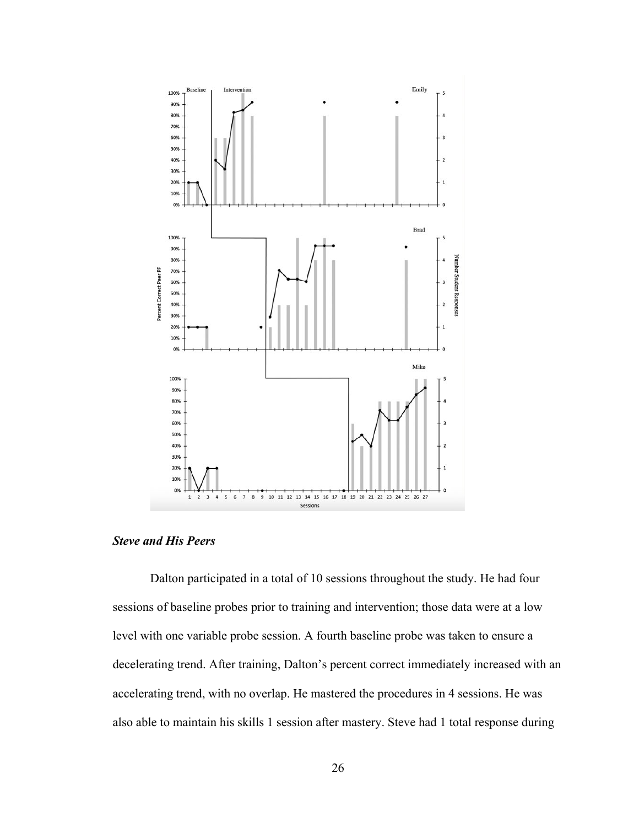

<span id="page-35-0"></span>*Steve and His Peers*

Dalton participated in a total of 10 sessions throughout the study. He had four sessions of baseline probes prior to training and intervention; those data were at a low level with one variable probe session. A fourth baseline probe was taken to ensure a decelerating trend. After training, Dalton's percent correct immediately increased with an accelerating trend, with no overlap. He mastered the procedures in 4 sessions. He was also able to maintain his skills 1 session after mastery. Steve had 1 total response during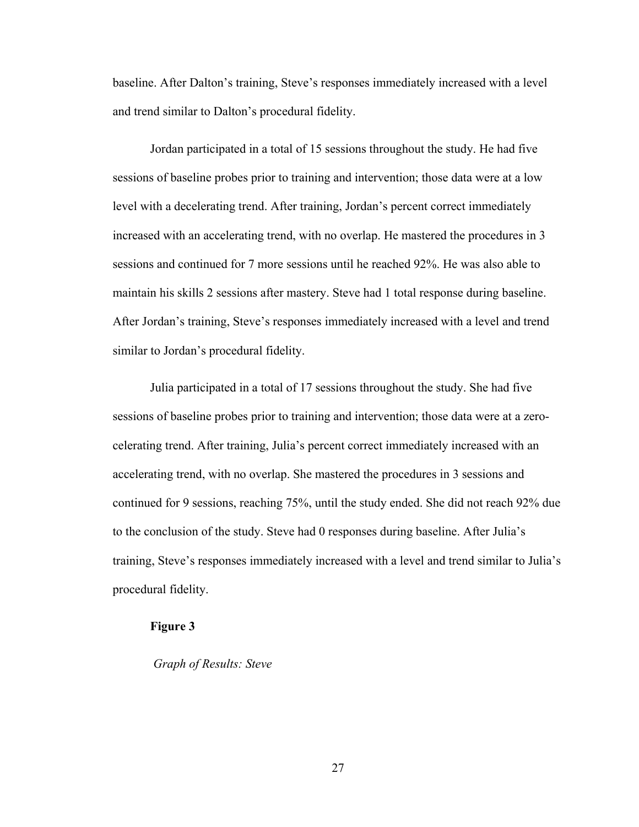baseline. After Dalton's training, Steve's responses immediately increased with a level and trend similar to Dalton's procedural fidelity.

Jordan participated in a total of 15 sessions throughout the study. He had five sessions of baseline probes prior to training and intervention; those data were at a low level with a decelerating trend. After training, Jordan's percent correct immediately increased with an accelerating trend, with no overlap. He mastered the procedures in 3 sessions and continued for 7 more sessions until he reached 92%. He was also able to maintain his skills 2 sessions after mastery. Steve had 1 total response during baseline. After Jordan's training, Steve's responses immediately increased with a level and trend similar to Jordan's procedural fidelity.

Julia participated in a total of 17 sessions throughout the study. She had five sessions of baseline probes prior to training and intervention; those data were at a zerocelerating trend. After training, Julia's percent correct immediately increased with an accelerating trend, with no overlap. She mastered the procedures in 3 sessions and continued for 9 sessions, reaching 75%, until the study ended. She did not reach 92% due to the conclusion of the study. Steve had 0 responses during baseline. After Julia's training, Steve's responses immediately increased with a level and trend similar to Julia's procedural fidelity.

#### <span id="page-36-0"></span>**Figure 3**

 *Graph of Results: Steve*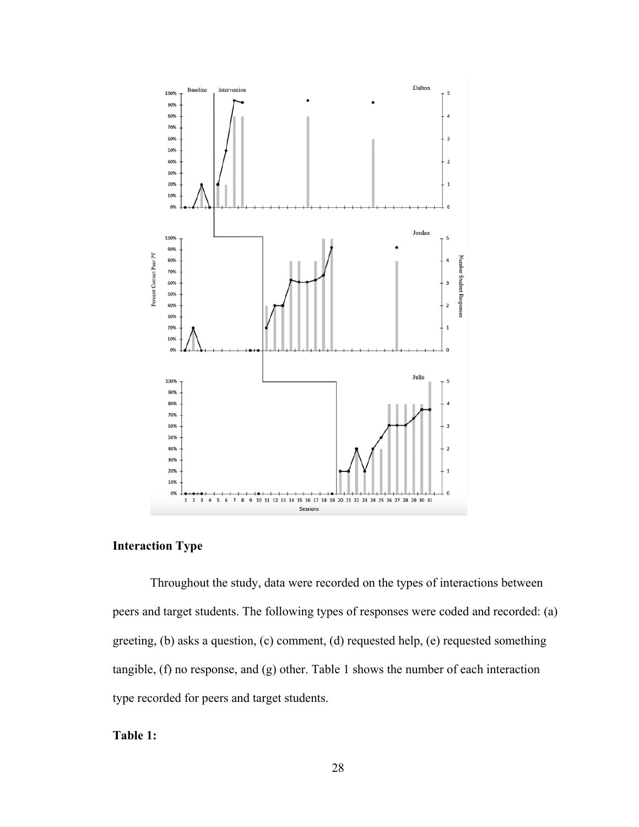

### <span id="page-37-0"></span>**Interaction Type**

Throughout the study, data were recorded on the types of interactions between peers and target students. The following types of responses were coded and recorded: (a) greeting, (b) asks a question, (c) comment, (d) requested help, (e) requested something tangible, (f) no response, and (g) other. Table 1 shows the number of each interaction type recorded for peers and target students.

#### <span id="page-37-1"></span>**Table 1:**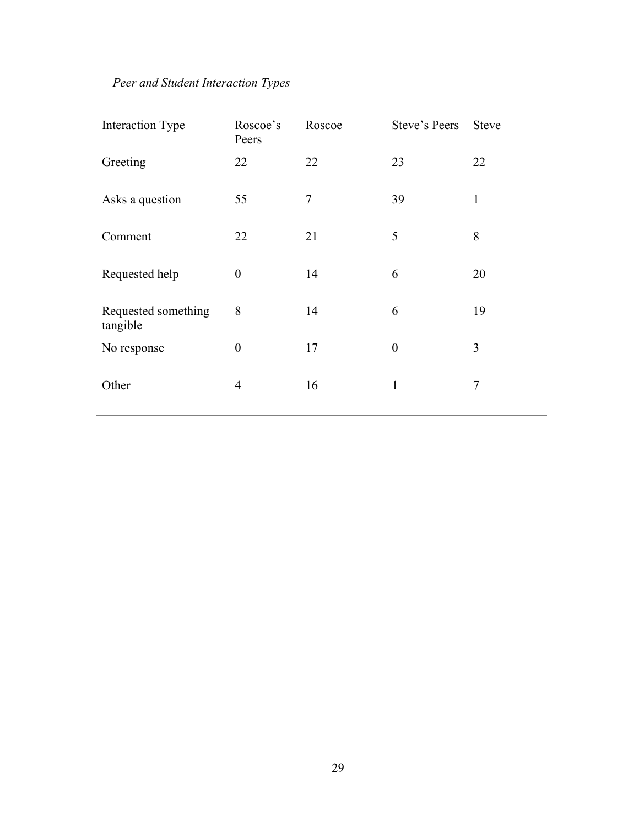## *Peer and Student Interaction Types*

| <b>Interaction Type</b>         | Roscoe's<br>Peers | Roscoe | Steve's Peers    | <b>Steve</b>   |
|---------------------------------|-------------------|--------|------------------|----------------|
| Greeting                        | 22                | 22     | 23               | 22             |
| Asks a question                 | 55                | 7      | 39               | 1              |
| Comment                         | 22                | 21     | 5                | 8              |
| Requested help                  | $\boldsymbol{0}$  | 14     | 6                | 20             |
| Requested something<br>tangible | 8                 | 14     | 6                | 19             |
| No response                     | $\boldsymbol{0}$  | 17     | $\boldsymbol{0}$ | 3              |
| Other                           | $\overline{4}$    | 16     | 1                | $\overline{7}$ |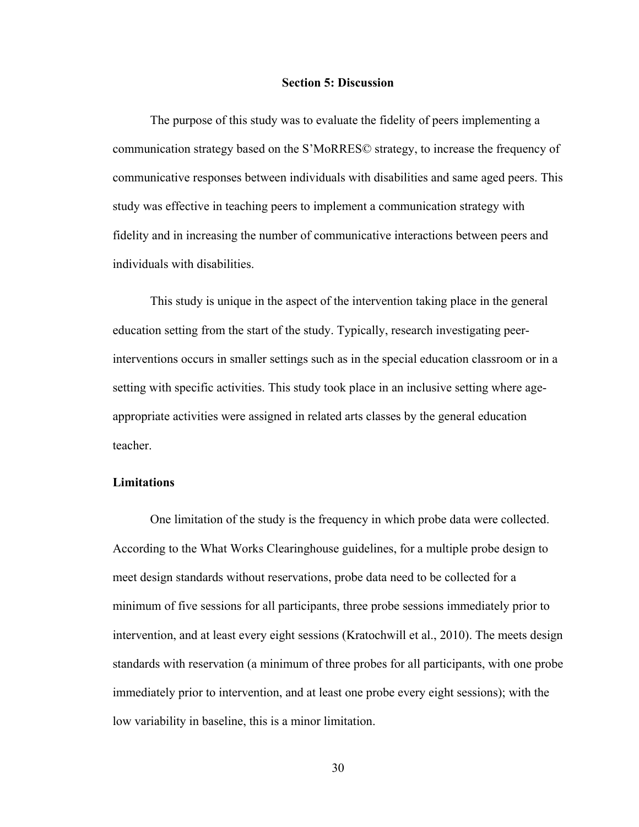#### **Section 5: Discussion**

<span id="page-39-0"></span>The purpose of this study was to evaluate the fidelity of peers implementing a communication strategy based on the S'MoRRES© strategy, to increase the frequency of communicative responses between individuals with disabilities and same aged peers. This study was effective in teaching peers to implement a communication strategy with fidelity and in increasing the number of communicative interactions between peers and individuals with disabilities.

This study is unique in the aspect of the intervention taking place in the general education setting from the start of the study. Typically, research investigating peerinterventions occurs in smaller settings such as in the special education classroom or in a setting with specific activities. This study took place in an inclusive setting where ageappropriate activities were assigned in related arts classes by the general education teacher.

#### **Limitations**

One limitation of the study is the frequency in which probe data were collected. According to the What Works Clearinghouse guidelines, for a multiple probe design to meet design standards without reservations, probe data need to be collected for a minimum of five sessions for all participants, three probe sessions immediately prior to intervention, and at least every eight sessions (Kratochwill et al., 2010). The meets design standards with reservation (a minimum of three probes for all participants, with one probe immediately prior to intervention, and at least one probe every eight sessions); with the low variability in baseline, this is a minor limitation.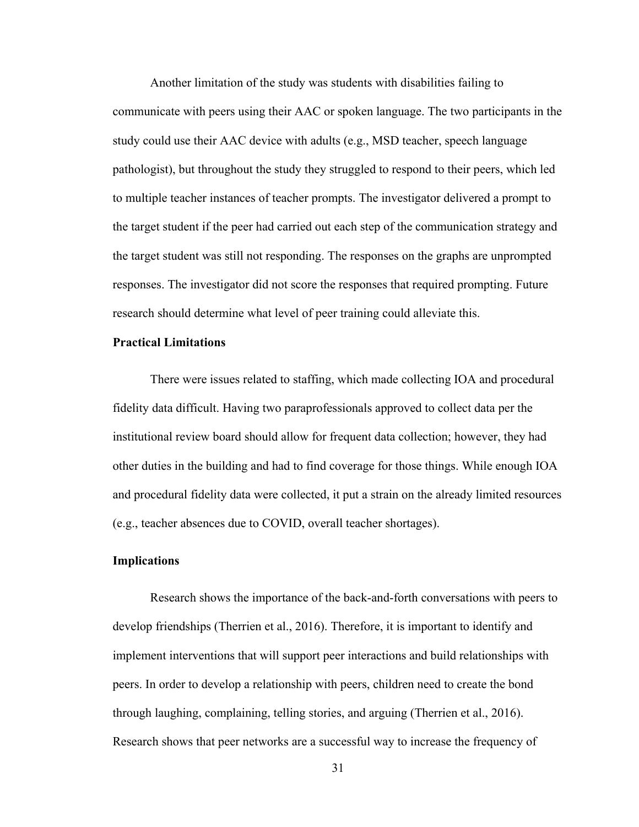Another limitation of the study was students with disabilities failing to communicate with peers using their AAC or spoken language. The two participants in the study could use their AAC device with adults (e.g., MSD teacher, speech language pathologist), but throughout the study they struggled to respond to their peers, which led to multiple teacher instances of teacher prompts. The investigator delivered a prompt to the target student if the peer had carried out each step of the communication strategy and the target student was still not responding. The responses on the graphs are unprompted responses. The investigator did not score the responses that required prompting. Future research should determine what level of peer training could alleviate this.

#### **Practical Limitations**

There were issues related to staffing, which made collecting IOA and procedural fidelity data difficult. Having two paraprofessionals approved to collect data per the institutional review board should allow for frequent data collection; however, they had other duties in the building and had to find coverage for those things. While enough IOA and procedural fidelity data were collected, it put a strain on the already limited resources (e.g., teacher absences due to COVID, overall teacher shortages).

#### <span id="page-40-0"></span>**Implications**

Research shows the importance of the back-and-forth conversations with peers to develop friendships (Therrien et al., 2016). Therefore, it is important to identify and implement interventions that will support peer interactions and build relationships with peers. In order to develop a relationship with peers, children need to create the bond through laughing, complaining, telling stories, and arguing (Therrien et al., 2016). Research shows that peer networks are a successful way to increase the frequency of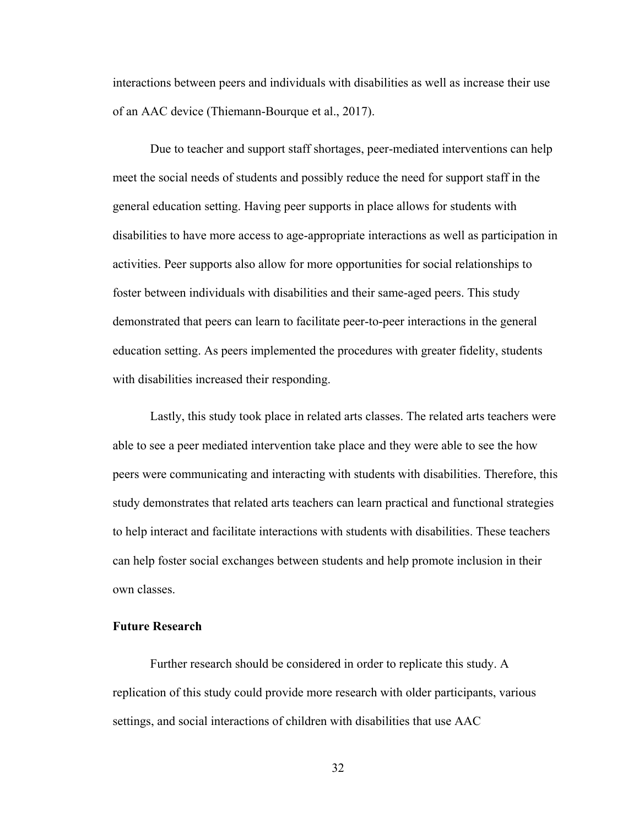interactions between peers and individuals with disabilities as well as increase their use of an AAC device (Thiemann-Bourque et al., 2017).

Due to teacher and support staff shortages, peer-mediated interventions can help meet the social needs of students and possibly reduce the need for support staff in the general education setting. Having peer supports in place allows for students with disabilities to have more access to age-appropriate interactions as well as participation in activities. Peer supports also allow for more opportunities for social relationships to foster between individuals with disabilities and their same-aged peers. This study demonstrated that peers can learn to facilitate peer-to-peer interactions in the general education setting. As peers implemented the procedures with greater fidelity, students with disabilities increased their responding.

Lastly, this study took place in related arts classes. The related arts teachers were able to see a peer mediated intervention take place and they were able to see the how peers were communicating and interacting with students with disabilities. Therefore, this study demonstrates that related arts teachers can learn practical and functional strategies to help interact and facilitate interactions with students with disabilities. These teachers can help foster social exchanges between students and help promote inclusion in their own classes.

#### <span id="page-41-0"></span>**Future Research**

Further research should be considered in order to replicate this study. A replication of this study could provide more research with older participants, various settings, and social interactions of children with disabilities that use AAC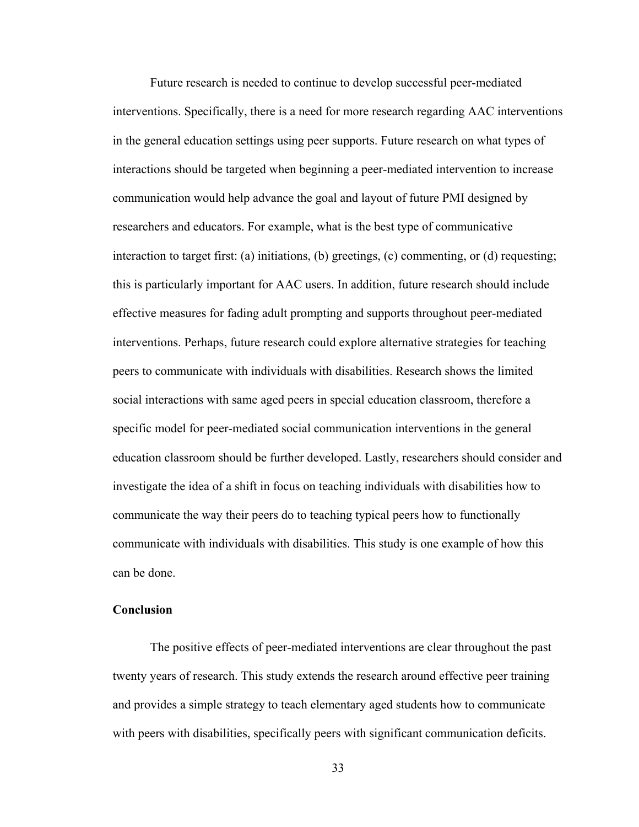Future research is needed to continue to develop successful peer-mediated interventions. Specifically, there is a need for more research regarding AAC interventions in the general education settings using peer supports. Future research on what types of interactions should be targeted when beginning a peer-mediated intervention to increase communication would help advance the goal and layout of future PMI designed by researchers and educators. For example, what is the best type of communicative interaction to target first: (a) initiations, (b) greetings, (c) commenting, or (d) requesting; this is particularly important for AAC users. In addition, future research should include effective measures for fading adult prompting and supports throughout peer-mediated interventions. Perhaps, future research could explore alternative strategies for teaching peers to communicate with individuals with disabilities. Research shows the limited social interactions with same aged peers in special education classroom, therefore a specific model for peer-mediated social communication interventions in the general education classroom should be further developed. Lastly, researchers should consider and investigate the idea of a shift in focus on teaching individuals with disabilities how to communicate the way their peers do to teaching typical peers how to functionally communicate with individuals with disabilities. This study is one example of how this can be done.

#### <span id="page-42-0"></span>**Conclusion**

The positive effects of peer-mediated interventions are clear throughout the past twenty years of research. This study extends the research around effective peer training and provides a simple strategy to teach elementary aged students how to communicate with peers with disabilities, specifically peers with significant communication deficits.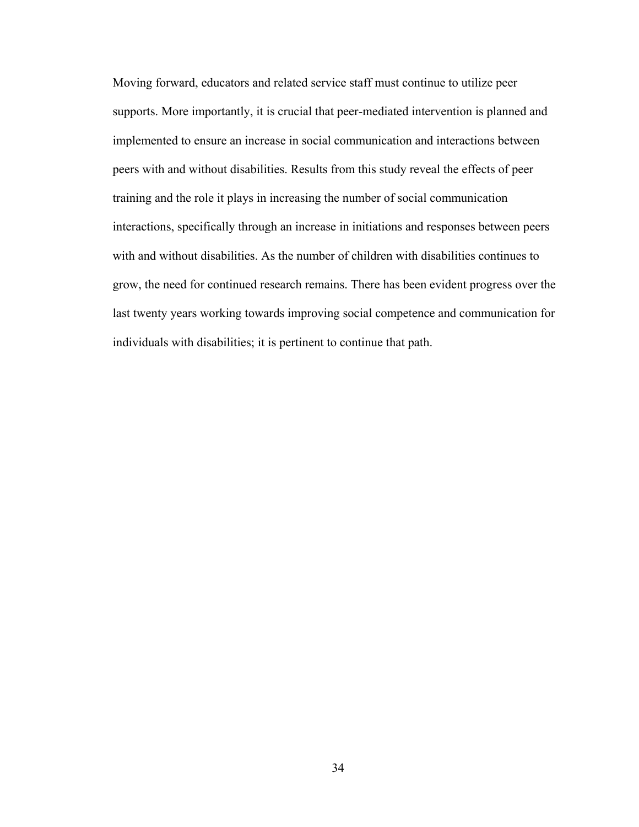Moving forward, educators and related service staff must continue to utilize peer supports. More importantly, it is crucial that peer-mediated intervention is planned and implemented to ensure an increase in social communication and interactions between peers with and without disabilities. Results from this study reveal the effects of peer training and the role it plays in increasing the number of social communication interactions, specifically through an increase in initiations and responses between peers with and without disabilities. As the number of children with disabilities continues to grow, the need for continued research remains. There has been evident progress over the last twenty years working towards improving social competence and communication for individuals with disabilities; it is pertinent to continue that path.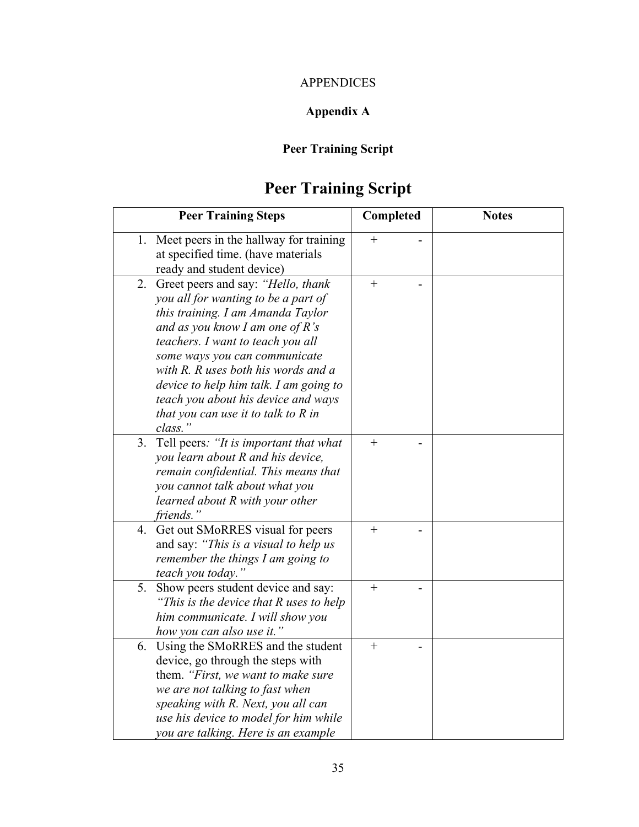### APPENDICES

## **Appendix A**

## **Peer Training Script**

# **Peer Training Script**

<span id="page-44-0"></span>

|         | <b>Peer Training Steps</b>                                                                                                                                                                                                                                                                                                                                                                | Completed | <b>Notes</b> |
|---------|-------------------------------------------------------------------------------------------------------------------------------------------------------------------------------------------------------------------------------------------------------------------------------------------------------------------------------------------------------------------------------------------|-----------|--------------|
|         | 1. Meet peers in the hallway for training<br>at specified time. (have materials<br>ready and student device)                                                                                                                                                                                                                                                                              | $+$       |              |
| class." | 2. Greet peers and say: "Hello, thank<br>you all for wanting to be a part of<br>this training. I am Amanda Taylor<br>and as you know I am one of R's<br>teachers. I want to teach you all<br>some ways you can communicate<br>with R. R uses both his words and a<br>device to help him talk. I am going to<br>teach you about his device and ways<br>that you can use it to talk to R in | $^{+}$    |              |
|         | 3. Tell peers: "It is important that what<br>you learn about R and his device,<br>remain confidential. This means that<br>you cannot talk about what you<br>learned about R with your other<br>friends."                                                                                                                                                                                  | $+$       |              |
| 4.      | Get out SMoRRES visual for peers<br>and say: "This is a visual to help us<br>remember the things I am going to<br>teach you today."                                                                                                                                                                                                                                                       | $+$       |              |
| 5.      | Show peers student device and say:<br>"This is the device that R uses to help<br>him communicate. I will show you<br>how you can also use it."                                                                                                                                                                                                                                            | $^{+}$    |              |
|         | 6. Using the SMoRRES and the student<br>device, go through the steps with<br>them. "First, we want to make sure<br>we are not talking to fast when<br>speaking with R. Next, you all can<br>use his device to model for him while<br>you are talking. Here is an example                                                                                                                  | $^{+}$    |              |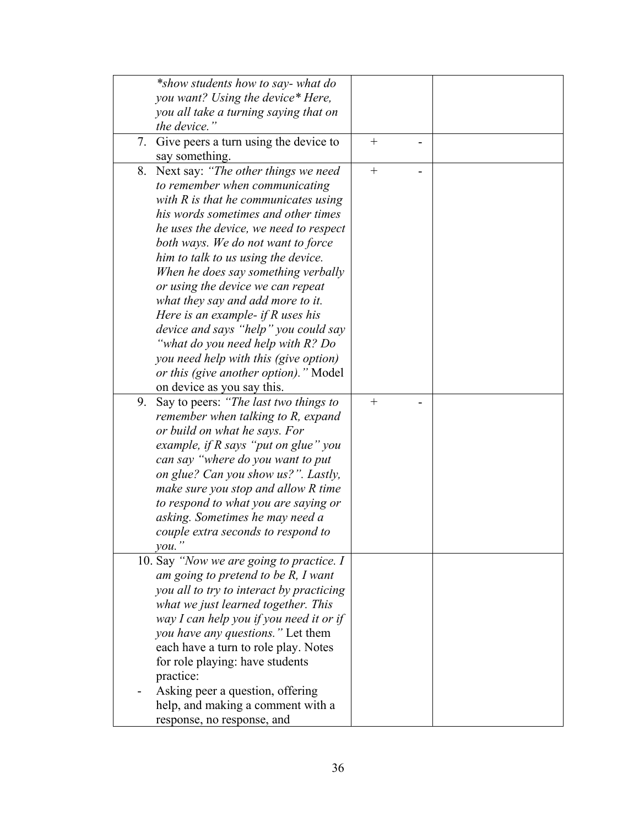|    | *show students how to say-what do                                                                                                                   |                  |  |
|----|-----------------------------------------------------------------------------------------------------------------------------------------------------|------------------|--|
|    | you want? Using the device* Here,                                                                                                                   |                  |  |
|    | you all take a turning saying that on                                                                                                               |                  |  |
|    | the device."                                                                                                                                        |                  |  |
|    | 7. Give peers a turn using the device to                                                                                                            | $^{+}$           |  |
|    | say something.                                                                                                                                      |                  |  |
|    | 8. Next say: "The other things we need                                                                                                              | $\boldsymbol{+}$ |  |
|    | to remember when communicating                                                                                                                      |                  |  |
|    | with $R$ is that he communicates using                                                                                                              |                  |  |
|    | his words sometimes and other times                                                                                                                 |                  |  |
|    |                                                                                                                                                     |                  |  |
|    | he uses the device, we need to respect                                                                                                              |                  |  |
|    | both ways. We do not want to force                                                                                                                  |                  |  |
|    | him to talk to us using the device.                                                                                                                 |                  |  |
|    | When he does say something verbally                                                                                                                 |                  |  |
|    | or using the device we can repeat                                                                                                                   |                  |  |
|    | what they say and add more to it.                                                                                                                   |                  |  |
|    | Here is an example- if $R$ uses his                                                                                                                 |                  |  |
|    | device and says "help" you could say                                                                                                                |                  |  |
|    | "what do you need help with R? Do                                                                                                                   |                  |  |
|    | you need help with this (give option)                                                                                                               |                  |  |
|    | or this (give another option)." Model                                                                                                               |                  |  |
|    | on device as you say this.                                                                                                                          |                  |  |
| 9. | Say to peers: "The last two things to                                                                                                               | $^{+}$           |  |
|    | remember when talking to R, expand                                                                                                                  |                  |  |
|    | or build on what he says. For                                                                                                                       |                  |  |
|    | example, if $R$ says "put on glue" you                                                                                                              |                  |  |
|    | can say "where do you want to put                                                                                                                   |                  |  |
|    | on glue? Can you show us?". Lastly,                                                                                                                 |                  |  |
|    | make sure you stop and allow R time                                                                                                                 |                  |  |
|    | to respond to what you are saying or                                                                                                                |                  |  |
|    | asking. Sometimes he may need a                                                                                                                     |                  |  |
|    | couple extra seconds to respond to                                                                                                                  |                  |  |
|    | vou.                                                                                                                                                |                  |  |
|    | 10. Say "Now we are going to practice. I                                                                                                            |                  |  |
|    | am going to pretend to be $R$ , I want                                                                                                              |                  |  |
|    | you all to try to interact by practicing                                                                                                            |                  |  |
|    | what we just learned together. This                                                                                                                 |                  |  |
|    | way I can help you if you need it or if                                                                                                             |                  |  |
|    | you have any questions." Let them                                                                                                                   |                  |  |
|    | each have a turn to role play. Notes                                                                                                                |                  |  |
|    |                                                                                                                                                     |                  |  |
|    |                                                                                                                                                     |                  |  |
|    |                                                                                                                                                     |                  |  |
|    |                                                                                                                                                     |                  |  |
|    |                                                                                                                                                     |                  |  |
|    | for role playing: have students<br>practice:<br>Asking peer a question, offering<br>help, and making a comment with a<br>response, no response, and |                  |  |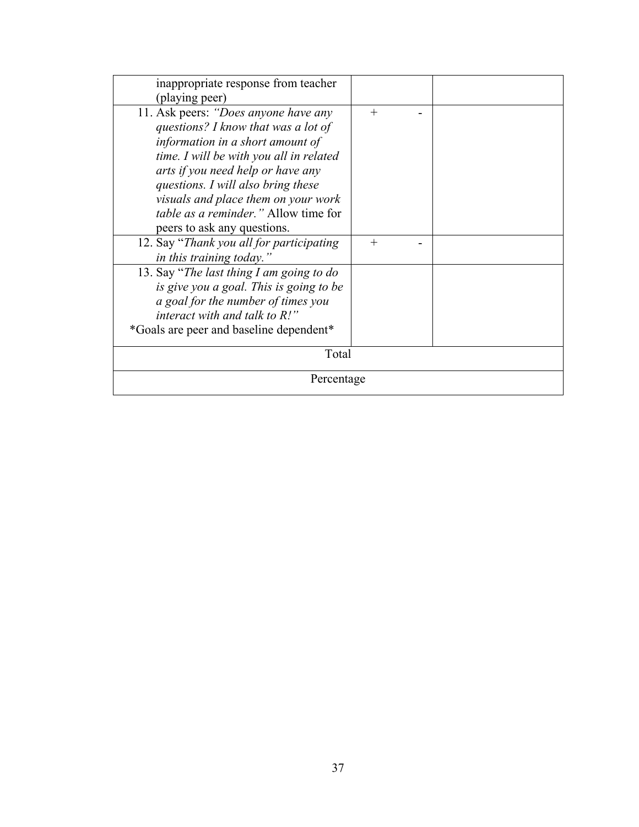| inappropriate response from teacher<br>(playing peer)                                                                                                                                                                                                                                                                                               |        |  |
|-----------------------------------------------------------------------------------------------------------------------------------------------------------------------------------------------------------------------------------------------------------------------------------------------------------------------------------------------------|--------|--|
| 11. Ask peers: "Does anyone have any<br>questions? I know that was a lot of<br>information in a short amount of<br>time. I will be with you all in related<br>arts if you need help or have any<br>questions. I will also bring these<br>visuals and place them on your work<br>table as a reminder." Allow time for<br>peers to ask any questions. | $^{+}$ |  |
| 12. Say "Thank you all for participating<br>in this training today."                                                                                                                                                                                                                                                                                | $^{+}$ |  |
| 13. Say "The last thing I am going to do<br>is give you a goal. This is going to be<br>a goal for the number of times you<br>interact with and talk to $R$ !"<br>*Goals are peer and baseline dependent*                                                                                                                                            |        |  |
| Total                                                                                                                                                                                                                                                                                                                                               |        |  |
| Percentage                                                                                                                                                                                                                                                                                                                                          |        |  |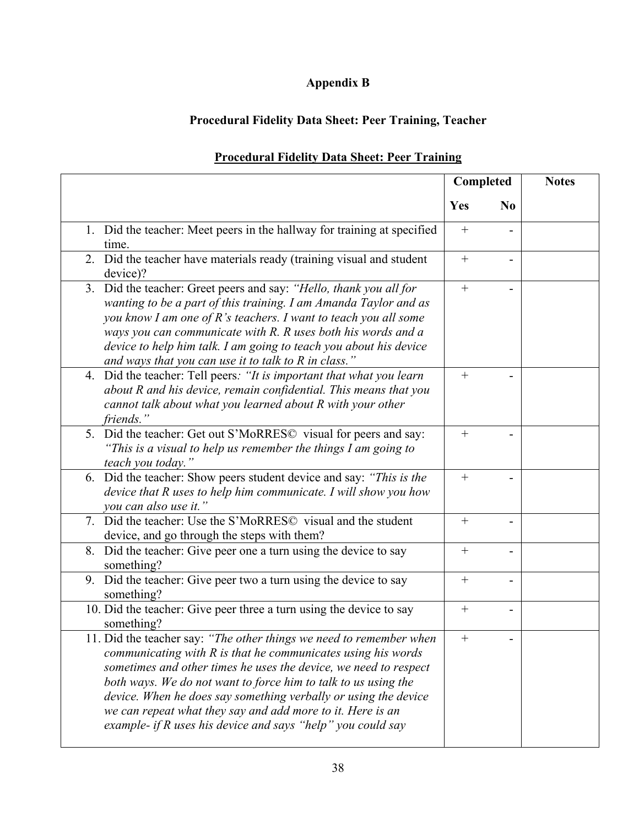## **Appendix B**

## <span id="page-47-0"></span>**Procedural Fidelity Data Sheet: Peer Training, Teacher**

|                                                                                                                                                                                                                                                                                                                                                                                                                                                                           | Completed |                | <b>Notes</b> |
|---------------------------------------------------------------------------------------------------------------------------------------------------------------------------------------------------------------------------------------------------------------------------------------------------------------------------------------------------------------------------------------------------------------------------------------------------------------------------|-----------|----------------|--------------|
|                                                                                                                                                                                                                                                                                                                                                                                                                                                                           | Yes       | N <sub>0</sub> |              |
| 1. Did the teacher: Meet peers in the hallway for training at specified<br>time.                                                                                                                                                                                                                                                                                                                                                                                          | $^{+}$    |                |              |
| 2. Did the teacher have materials ready (training visual and student<br>device)?                                                                                                                                                                                                                                                                                                                                                                                          | $+$       | $\blacksquare$ |              |
| Did the teacher: Greet peers and say: "Hello, thank you all for<br>3.<br>wanting to be a part of this training. I am Amanda Taylor and as<br>you know I am one of R's teachers. I want to teach you all some<br>ways you can communicate with R. R uses both his words and a<br>device to help him talk. I am going to teach you about his device<br>and ways that you can use it to talk to R in class."                                                                 | $+$       |                |              |
| 4. Did the teacher: Tell peers: "It is important that what you learn<br>about R and his device, remain confidential. This means that you<br>cannot talk about what you learned about R with your other<br>friends."                                                                                                                                                                                                                                                       | $+$       |                |              |
| 5. Did the teacher: Get out S'MoRRES© visual for peers and say:<br>"This is a visual to help us remember the things I am going to<br>teach you today."                                                                                                                                                                                                                                                                                                                    | $+$       |                |              |
| 6. Did the teacher: Show peers student device and say: "This is the<br>device that R uses to help him communicate. I will show you how<br>you can also use it."                                                                                                                                                                                                                                                                                                           | $^{+}$    |                |              |
| 7. Did the teacher: Use the S'MoRRES© visual and the student<br>device, and go through the steps with them?                                                                                                                                                                                                                                                                                                                                                               | $^{+}$    |                |              |
| Did the teacher: Give peer one a turn using the device to say<br>8.<br>something?                                                                                                                                                                                                                                                                                                                                                                                         | $+$       |                |              |
| 9. Did the teacher: Give peer two a turn using the device to say<br>something?                                                                                                                                                                                                                                                                                                                                                                                            | $+$       |                |              |
| 10. Did the teacher: Give peer three a turn using the device to say<br>something?                                                                                                                                                                                                                                                                                                                                                                                         |           |                |              |
| 11. Did the teacher say: "The other things we need to remember when<br>communicating with R is that he communicates using his words<br>sometimes and other times he uses the device, we need to respect<br>both ways. We do not want to force him to talk to us using the<br>device. When he does say something verbally or using the device<br>we can repeat what they say and add more to it. Here is an<br>example- if R uses his device and says "help" you could say |           |                |              |

## **Procedural Fidelity Data Sheet: Peer Training**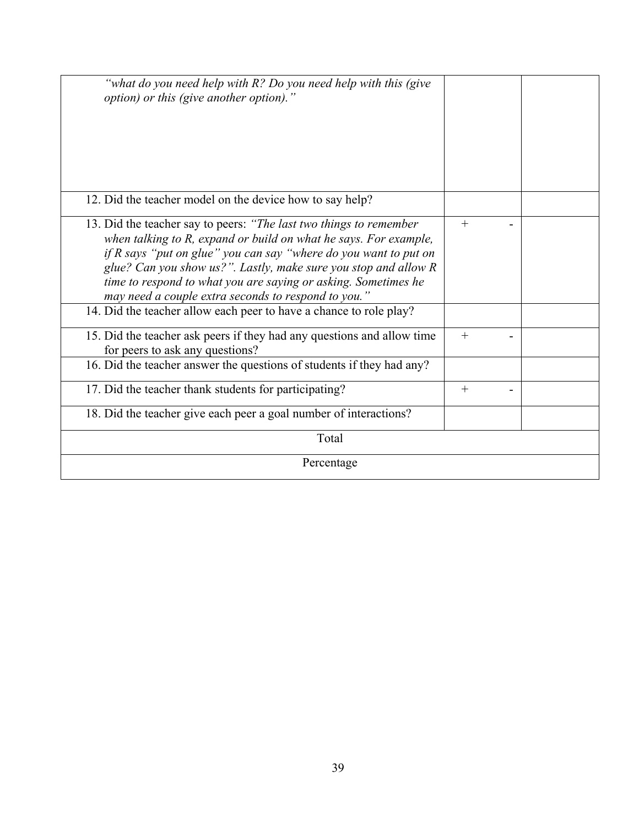| "what do you need help with R? Do you need help with this (give<br>option) or this (give another option)."                                                                                                                                                                                                                                                                                             |        |  |
|--------------------------------------------------------------------------------------------------------------------------------------------------------------------------------------------------------------------------------------------------------------------------------------------------------------------------------------------------------------------------------------------------------|--------|--|
| 12. Did the teacher model on the device how to say help?                                                                                                                                                                                                                                                                                                                                               |        |  |
| 13. Did the teacher say to peers: "The last two things to remember<br>when talking to R, expand or build on what he says. For example,<br>if R says "put on glue" you can say "where do you want to put on<br>glue? Can you show us?". Lastly, make sure you stop and allow R<br>time to respond to what you are saying or asking. Sometimes he<br>may need a couple extra seconds to respond to you." | $^{+}$ |  |
| 14. Did the teacher allow each peer to have a chance to role play?                                                                                                                                                                                                                                                                                                                                     |        |  |
| 15. Did the teacher ask peers if they had any questions and allow time<br>for peers to ask any questions?                                                                                                                                                                                                                                                                                              | $^{+}$ |  |
| 16. Did the teacher answer the questions of students if they had any?                                                                                                                                                                                                                                                                                                                                  |        |  |
| 17. Did the teacher thank students for participating?                                                                                                                                                                                                                                                                                                                                                  | $^{+}$ |  |
| 18. Did the teacher give each peer a goal number of interactions?                                                                                                                                                                                                                                                                                                                                      |        |  |
| Total                                                                                                                                                                                                                                                                                                                                                                                                  |        |  |
| Percentage                                                                                                                                                                                                                                                                                                                                                                                             |        |  |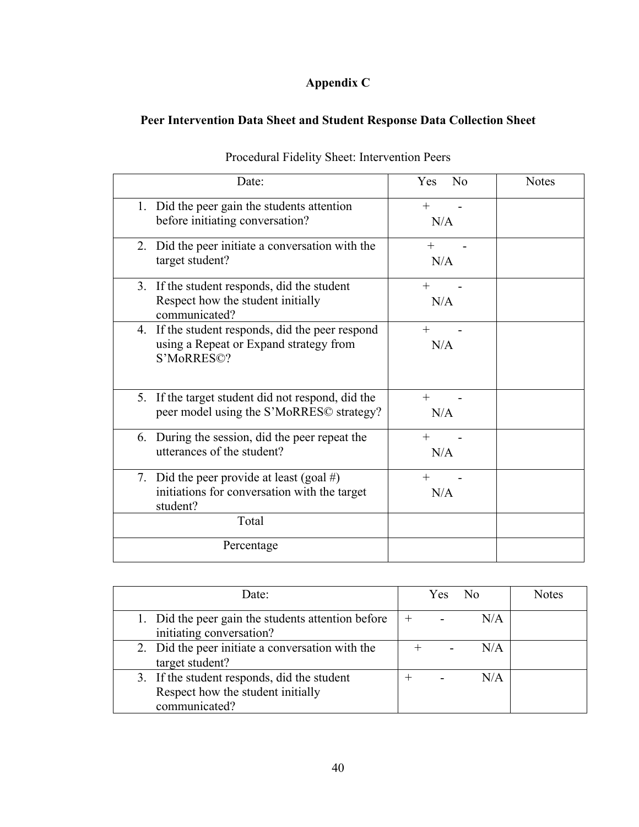## **Appendix C**

## <span id="page-49-0"></span>**Peer Intervention Data Sheet and Student Response Data Collection Sheet**

| Date:                                                                                                    | No<br><b>Yes</b> | <b>Notes</b> |
|----------------------------------------------------------------------------------------------------------|------------------|--------------|
| 1. Did the peer gain the students attention<br>before initiating conversation?                           | $+$<br>N/A       |              |
| 2. Did the peer initiate a conversation with the<br>target student?                                      | $^{+}$<br>N/A    |              |
| 3. If the student responds, did the student<br>Respect how the student initially<br>communicated?        | $^{+}$<br>N/A    |              |
| 4. If the student responds, did the peer respond<br>using a Repeat or Expand strategy from<br>S'MoRRES©? | $+$<br>N/A       |              |
| 5. If the target student did not respond, did the<br>peer model using the S'MoRRES© strategy?            | $^{+}$<br>N/A    |              |
| 6. During the session, did the peer repeat the<br>utterances of the student?                             | N/A              |              |
| 7. Did the peer provide at least (goal #)<br>initiations for conversation with the target<br>student?    | $\div$<br>N/A    |              |
| Total                                                                                                    |                  |              |
| Percentage                                                                                               |                  |              |

Procedural Fidelity Sheet: Intervention Peers

| Date:                                                                                             | No<br>Yes. | Notes |
|---------------------------------------------------------------------------------------------------|------------|-------|
| 1. Did the peer gain the students attention before<br>initiating conversation?                    | N/A<br>$+$ |       |
| 2. Did the peer initiate a conversation with the<br>target student?                               | N/A        |       |
| 3. If the student responds, did the student<br>Respect how the student initially<br>communicated? | N/A        |       |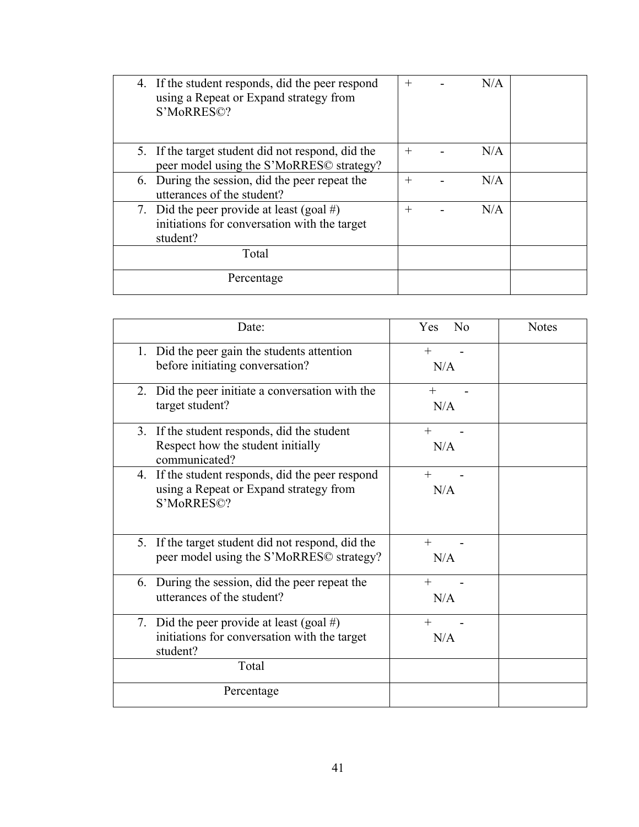| 4. If the student responds, did the peer respond<br>using a Repeat or Expand strategy from<br>S'MoRRES©? | $^{+}$ | N/A |  |
|----------------------------------------------------------------------------------------------------------|--------|-----|--|
| 5. If the target student did not respond, did the<br>peer model using the S'MoRRES© strategy?            | $^{+}$ | N/A |  |
| 6. During the session, did the peer repeat the<br>utterances of the student?                             | $^{+}$ | N/A |  |
| 7. Did the peer provide at least (goal #)<br>initiations for conversation with the target<br>student?    | $^{+}$ | N/A |  |
| Total                                                                                                    |        |     |  |
| Percentage                                                                                               |        |     |  |

| Date:                                                                                                    | No<br>Yes     | <b>Notes</b> |
|----------------------------------------------------------------------------------------------------------|---------------|--------------|
| 1. Did the peer gain the students attention<br>before initiating conversation?                           | $^{+}$<br>N/A |              |
| 2. Did the peer initiate a conversation with the<br>target student?                                      | $^{+}$<br>N/A |              |
| 3. If the student responds, did the student<br>Respect how the student initially<br>communicated?        | $^{+}$<br>N/A |              |
| 4. If the student responds, did the peer respond<br>using a Repeat or Expand strategy from<br>S'MoRRES©? | $+$<br>N/A    |              |
| 5. If the target student did not respond, did the<br>peer model using the S'MoRRES© strategy?            | $^{+}$<br>N/A |              |
| 6. During the session, did the peer repeat the<br>utterances of the student?                             | $+$<br>N/A    |              |
| 7. Did the peer provide at least (goal #)<br>initiations for conversation with the target<br>student?    | $^{+}$<br>N/A |              |
| Total<br>Percentage                                                                                      |               |              |
|                                                                                                          |               |              |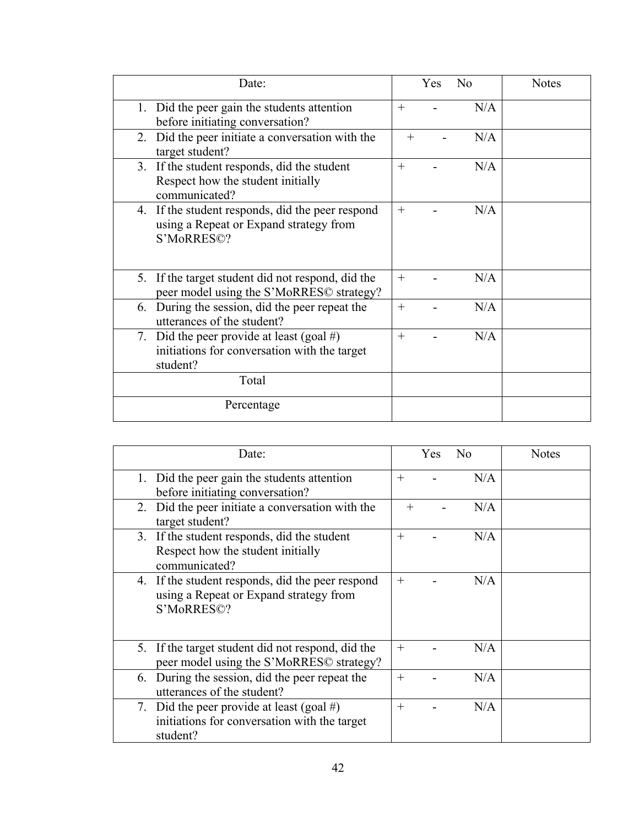| Date:                                                                                                    |        | <b>Yes</b> | N <sub>o</sub> | <b>Notes</b> |
|----------------------------------------------------------------------------------------------------------|--------|------------|----------------|--------------|
| 1. Did the peer gain the students attention<br>before initiating conversation?                           | $^{+}$ |            | N/A            |              |
| 2. Did the peer initiate a conversation with the<br>target student?                                      | $^{+}$ |            | N/A            |              |
| 3. If the student responds, did the student<br>Respect how the student initially<br>communicated?        | $^{+}$ |            | N/A            |              |
| 4. If the student responds, did the peer respond<br>using a Repeat or Expand strategy from<br>S'MoRRES©? | $+$    |            | N/A            |              |
| 5. If the target student did not respond, did the<br>peer model using the S'MoRRES© strategy?            | $^{+}$ |            | N/A            |              |
| During the session, did the peer repeat the<br>6.<br>utterances of the student?                          | $^{+}$ |            | N/A            |              |
| Did the peer provide at least (goal #)<br>7.<br>initiations for conversation with the target<br>student? | $^{+}$ |            | N/A            |              |
| Total                                                                                                    |        |            |                |              |
| Percentage                                                                                               |        |            |                |              |

| Date:                                                                                                    | N <sub>o</sub><br>Yes. | Notes |
|----------------------------------------------------------------------------------------------------------|------------------------|-------|
| 1. Did the peer gain the students attention<br>before initiating conversation?                           | N/A<br>$^{+}$          |       |
| 2. Did the peer initiate a conversation with the<br>target student?                                      | N/A                    |       |
| 3. If the student responds, did the student<br>Respect how the student initially<br>communicated?        | N/A<br>$^{+}$          |       |
| 4. If the student responds, did the peer respond<br>using a Repeat or Expand strategy from<br>S'MoRRES©? | N/A<br>$^{+}$          |       |
| 5. If the target student did not respond, did the<br>peer model using the S'MoRRES© strategy?            | N/A<br>$^{+}$          |       |
| 6. During the session, did the peer repeat the<br>utterances of the student?                             | N/A<br>$^{+}$          |       |
| Did the peer provide at least (goal #)<br>7.<br>initiations for conversation with the target<br>student? | N/A<br>$^{+}$          |       |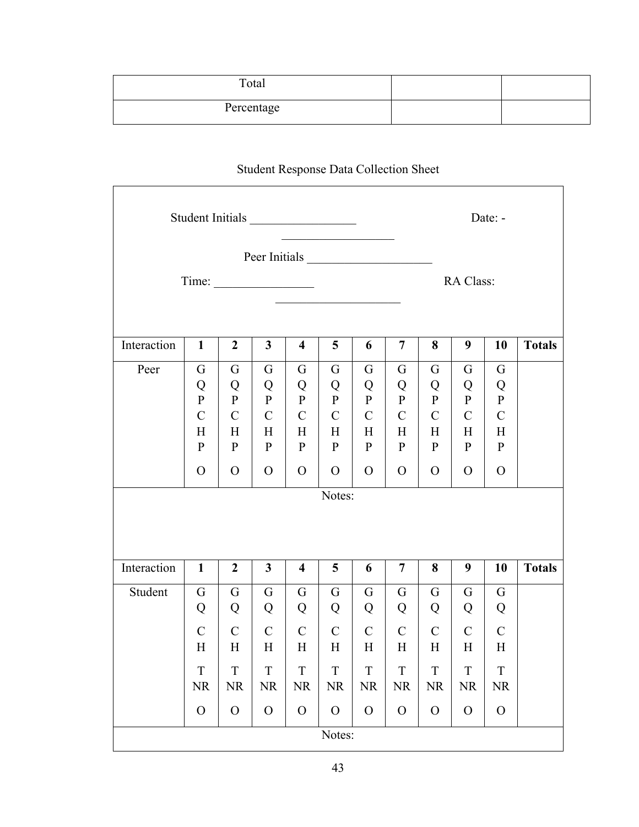| Total      |  |
|------------|--|
| Percentage |  |

## Student Response Data Collection Sheet

Г

| Student Initials<br>Date: -         |                                                                      |                                                                         |                                                                          |                                                                              |                                                                                        |                                                                           |                                                                             |                                                                           |                                                                                    |                                                                              |               |
|-------------------------------------|----------------------------------------------------------------------|-------------------------------------------------------------------------|--------------------------------------------------------------------------|------------------------------------------------------------------------------|----------------------------------------------------------------------------------------|---------------------------------------------------------------------------|-----------------------------------------------------------------------------|---------------------------------------------------------------------------|------------------------------------------------------------------------------------|------------------------------------------------------------------------------|---------------|
| Peer Initials<br>Time:<br>RA Class: |                                                                      |                                                                         |                                                                          |                                                                              |                                                                                        |                                                                           |                                                                             |                                                                           |                                                                                    |                                                                              |               |
| Interaction                         | $\mathbf{1}$                                                         | $\boldsymbol{2}$                                                        | $\mathbf{3}$                                                             | $\overline{\mathbf{4}}$                                                      | 5                                                                                      | 6                                                                         | 7                                                                           | 8                                                                         | 9                                                                                  | 10                                                                           | <b>Totals</b> |
| Peer                                | G<br>Q<br>${\bf P}$<br>$\mathbf C$<br>H<br>${\bf P}$<br>$\mathbf{O}$ | G<br>Q<br>$\mathbf{P}$<br>$\mathbf C$<br>H<br>${\bf P}$<br>$\mathbf{O}$ | G<br>Q<br>${\bf P}$<br>$\mathcal{C}$<br>H<br>${\bf P}$<br>$\overline{O}$ | G<br>Q<br>$\mathbf{P}$<br>$\mathbf C$<br>H<br>$\mathbf{P}$<br>$\overline{O}$ | G<br>Q<br>$\, {\bf P}$<br>$\mathbf C$<br>H<br>$\mathbf{P}$<br>$\overline{O}$<br>Notes: | G<br>Q<br>$\mathbf{P}$<br>$\mathbf C$<br>Η<br>${\bf P}$<br>$\overline{O}$ | G<br>Q<br>${\bf P}$<br>$\mathcal{C}$<br>H<br>$\mathbf{P}$<br>$\overline{O}$ | G<br>Q<br>$\mathbf{P}$<br>$\mathbf C$<br>H<br>${\bf P}$<br>$\overline{O}$ | G<br>Q<br>$\mathbf{P}$<br>$\mathbf C$<br>$H_{\rm}$<br>$\mathbf{P}$<br>$\mathbf{O}$ | G<br>Q<br>${\bf P}$<br>$\mathbf C$<br>$H_{\rm}$<br>${\bf P}$<br>$\mathbf{O}$ |               |
|                                     |                                                                      |                                                                         |                                                                          |                                                                              |                                                                                        |                                                                           |                                                                             |                                                                           |                                                                                    |                                                                              |               |
| Interaction                         | $\mathbf{1}$                                                         | $\overline{2}$                                                          | 3 <sup>1</sup>                                                           | $\overline{\mathbf{4}}$                                                      | 5                                                                                      | 6                                                                         | $\overline{7}$                                                              | 8                                                                         | 9                                                                                  | 10                                                                           | <b>Totals</b> |
| Student                             | G<br>Q                                                               | G<br>Q                                                                  | G<br>Q                                                                   | G<br>Q                                                                       | G<br>Q                                                                                 | G<br>Q                                                                    | G<br>Q                                                                      | G<br>Q                                                                    | G<br>Q                                                                             | G<br>Q                                                                       |               |
|                                     | $\mathbf C$<br>$H_{\rm}$                                             | $\mathbf C$<br>H                                                        | $\mathcal{C}$<br>H                                                       | $\mathbf C$<br>H                                                             | $\mathbf C$<br>H                                                                       | $\mathbf C$<br>$H_{\rm}$                                                  | $\mathbf C$<br>H                                                            | $\mathbf C$<br>H                                                          | $\mathbf C$<br>H                                                                   | $\mathbf C$<br>H                                                             |               |
|                                     | $\mathbf T$<br><b>NR</b>                                             | $\mathbf T$<br><b>NR</b>                                                | $\mathbf T$<br>NR                                                        | T<br><b>NR</b>                                                               | T<br><b>NR</b>                                                                         | $\mathbf T$<br><b>NR</b>                                                  | T<br><b>NR</b>                                                              | T<br><b>NR</b>                                                            | T<br><b>NR</b>                                                                     | $\mathbf T$<br><b>NR</b>                                                     |               |
|                                     | $\mathcal{O}$                                                        | $\mathcal{O}$                                                           | $\mathbf{O}$                                                             | $\mathcal{O}$                                                                | $\mathcal{O}$                                                                          | $\mathcal{O}$                                                             | $\mathbf{O}$                                                                | $\mathcal{O}$                                                             | $\mathcal{O}$                                                                      | $\mathbf{O}$                                                                 |               |
| Notes:                              |                                                                      |                                                                         |                                                                          |                                                                              |                                                                                        |                                                                           |                                                                             |                                                                           |                                                                                    |                                                                              |               |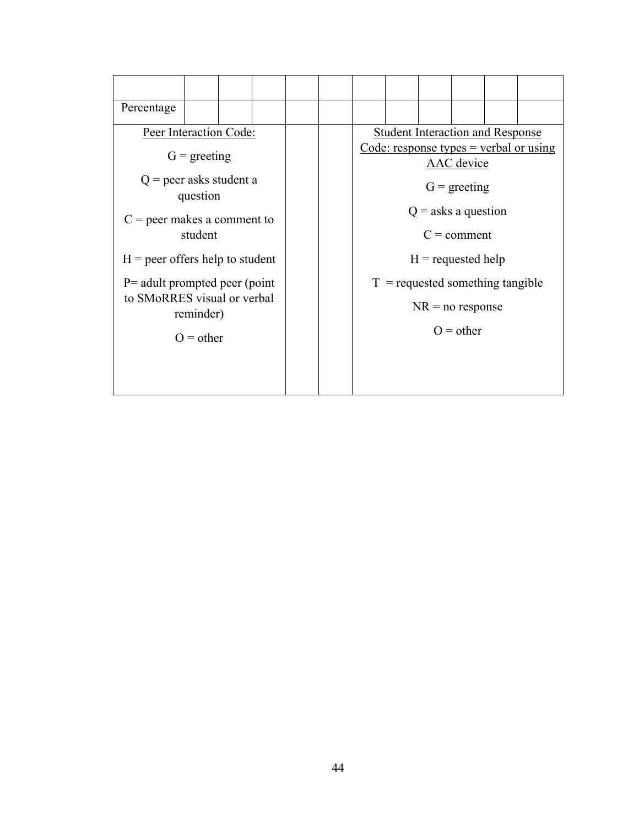| Percentage                        |                                          |  |  |                      |                                                        |                                    |  |                                         |  |  |  |  |
|-----------------------------------|------------------------------------------|--|--|----------------------|--------------------------------------------------------|------------------------------------|--|-----------------------------------------|--|--|--|--|
| Peer Interaction Code:            |                                          |  |  |                      |                                                        |                                    |  | <b>Student Interaction and Response</b> |  |  |  |  |
|                                   | $G = \text{greeting}$                    |  |  |                      | Code: response types $=$ verbal or using<br>AAC device |                                    |  |                                         |  |  |  |  |
| $Q$ = peer asks student a         | question                                 |  |  |                      | $G = \text{greeting}$                                  |                                    |  |                                         |  |  |  |  |
|                                   |                                          |  |  |                      | $Q =$ asks a question                                  |                                    |  |                                         |  |  |  |  |
|                                   | $C =$ peer makes a comment to<br>student |  |  |                      | $C =$ comment                                          |                                    |  |                                         |  |  |  |  |
| $H =$ peer offers help to student |                                          |  |  | $H =$ requested help |                                                        |                                    |  |                                         |  |  |  |  |
| $P=$ adult prompted peer (point   |                                          |  |  |                      |                                                        | $T =$ requested something tangible |  |                                         |  |  |  |  |
| to SMoRRES visual or verbal       | reminder)                                |  |  |                      |                                                        |                                    |  | $NR = no$ response                      |  |  |  |  |
|                                   | $O = other$                              |  |  |                      |                                                        |                                    |  | $Q = other$                             |  |  |  |  |
|                                   |                                          |  |  |                      |                                                        |                                    |  |                                         |  |  |  |  |
|                                   |                                          |  |  |                      |                                                        |                                    |  |                                         |  |  |  |  |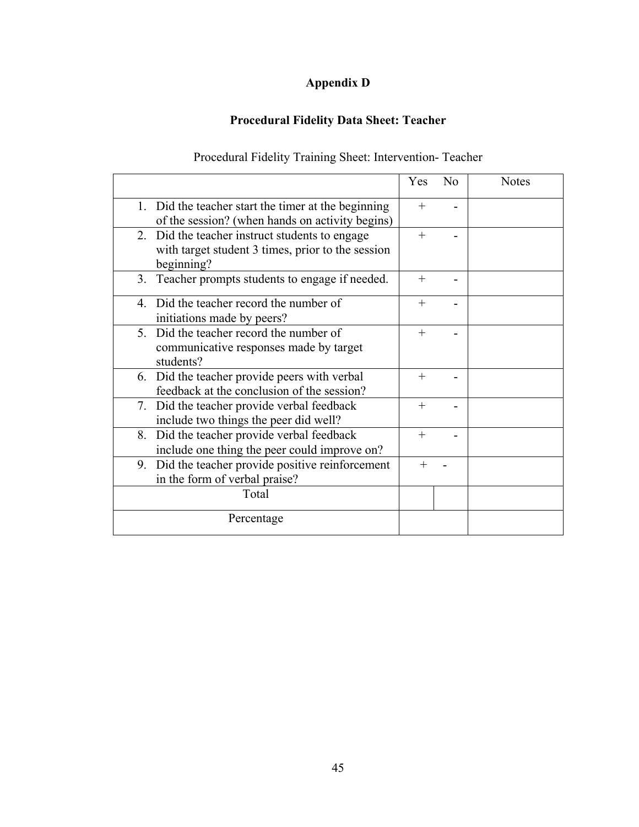## **Appendix D**

## **Procedural Fidelity Data Sheet: Teacher**

## Procedural Fidelity Training Sheet: Intervention- Teacher

<span id="page-54-0"></span>

|                                                                                                                   | Yes    | N <sub>0</sub> | <b>Notes</b> |
|-------------------------------------------------------------------------------------------------------------------|--------|----------------|--------------|
| 1. Did the teacher start the timer at the beginning<br>of the session? (when hands on activity begins)            | $^{+}$ |                |              |
| 2. Did the teacher instruct students to engage<br>with target student 3 times, prior to the session<br>beginning? | $^{+}$ |                |              |
| 3. Teacher prompts students to engage if needed.                                                                  | $^{+}$ |                |              |
| 4. Did the teacher record the number of<br>initiations made by peers?                                             | $^{+}$ |                |              |
| 5. Did the teacher record the number of<br>communicative responses made by target<br>students?                    | $^{+}$ |                |              |
| 6. Did the teacher provide peers with verbal<br>feedback at the conclusion of the session?                        | $^{+}$ |                |              |
| 7. Did the teacher provide verbal feedback<br>include two things the peer did well?                               | $^{+}$ |                |              |
| 8. Did the teacher provide verbal feedback<br>include one thing the peer could improve on?                        | $+$    |                |              |
| 9. Did the teacher provide positive reinforcement<br>in the form of verbal praise?                                | $+$    |                |              |
| Total                                                                                                             |        |                |              |
| Percentage                                                                                                        |        |                |              |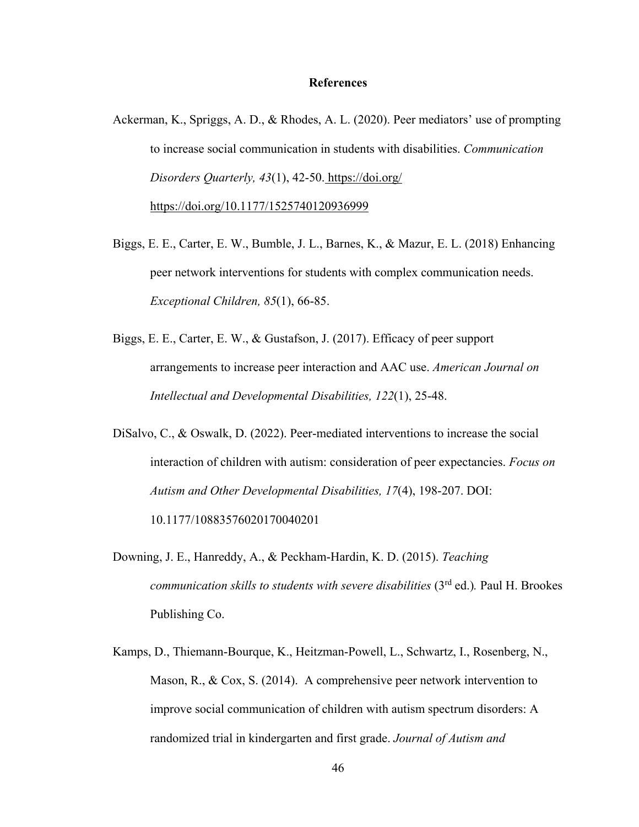#### **References**

- <span id="page-55-0"></span>Ackerman, K., Spriggs, A. D., & Rhodes, A. L. (2020). Peer mediators' use of prompting to increase social communication in students with disabilities. *Communication Disorders Quarterly, 43*(1), 42-50. https://doi.org/ [https://doi.org/10.1177/1525740120936999](https://doi.org/10.1177%2F1525740120936999)
- Biggs, E. E., Carter, E. W., Bumble, J. L., Barnes, K., & Mazur, E. L. (2018) Enhancing peer network interventions for students with complex communication needs. *Exceptional Children, 85*(1), 66-85.
- Biggs, E. E., Carter, E. W., & Gustafson, J. (2017). Efficacy of peer support arrangements to increase peer interaction and AAC use. *American Journal on Intellectual and Developmental Disabilities, 122*(1), 25-48.
- DiSalvo, C., & Oswalk, D. (2022). Peer-mediated interventions to increase the social interaction of children with autism: consideration of peer expectancies. *Focus on Autism and Other Developmental Disabilities, 17*(4), 198-207. DOI: 10.1177/10883576020170040201
- Downing, J. E., Hanreddy, A., & Peckham-Hardin, K. D. (2015). *Teaching communication skills to students with severe disabilities* (3<sup>rd</sup> ed.). Paul H. Brookes Publishing Co.
- Kamps, D., Thiemann-Bourque, K., Heitzman-Powell, L., Schwartz, I., Rosenberg, N., Mason, R., & Cox, S. (2014). A comprehensive peer network intervention to improve social communication of children with autism spectrum disorders: A randomized trial in kindergarten and first grade. *Journal of Autism and*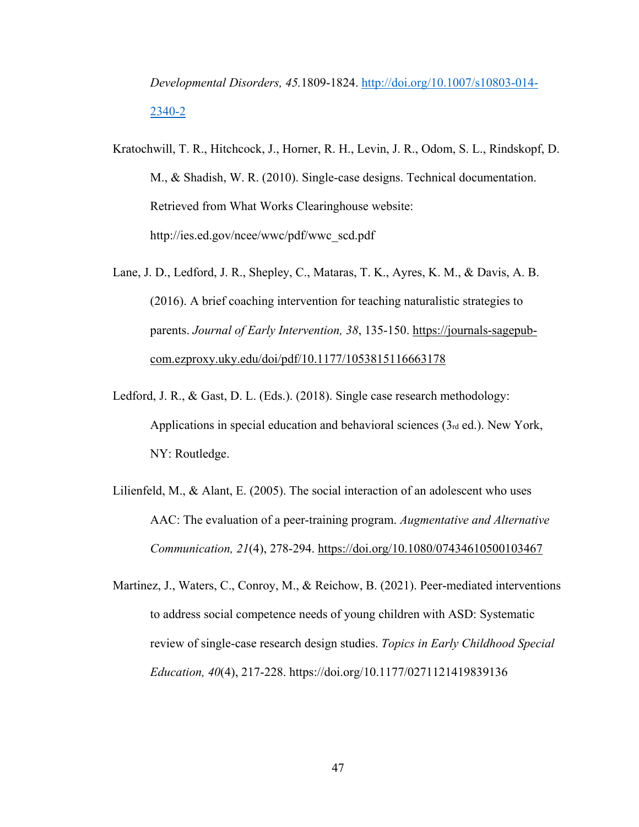# *Developmental Disorders, 45.*1809-1824. [http://doi.org/10.1007/s10803-014-](http://doi.org/10.1007/s10803-014-2340-2) [2340-2](http://doi.org/10.1007/s10803-014-2340-2)

- Kratochwill, T. R., Hitchcock, J., Horner, R. H., Levin, J. R., Odom, S. L., Rindskopf, D. M., & Shadish, W. R. (2010). Single-case designs. Technical documentation. Retrieved from What Works Clearinghouse website: http://ies.ed.gov/ncee/wwc/pdf/wwc\_scd.pdf
- Lane, J. D., Ledford, J. R., Shepley, C., Mataras, T. K., Ayres, K. M., & Davis, A. B. (2016). A brief coaching intervention for teaching naturalistic strategies to parents. *Journal of Early Intervention, 38*, 135-150. [https://journals-sagepub](https://journals-sagepub-com.ezproxy.uky.edu/doi/pdf/10.1177/1053815116663178)[com.ezproxy.uky.edu/doi/pdf/10.1177/1053815116663178](https://journals-sagepub-com.ezproxy.uky.edu/doi/pdf/10.1177/1053815116663178)
- Ledford, J. R., & Gast, D. L. (Eds.). (2018). Single case research methodology: Applications in special education and behavioral sciences  $(3<sub>rd</sub> ed.)$ . New York, NY: Routledge.
- Lilienfeld, M., & Alant, E. (2005). The social interaction of an adolescent who uses AAC: The evaluation of a peer-training program. *Augmentative and Alternative Communication, 21*(4), 278-294.<https://doi.org/10.1080/07434610500103467>
- Martinez, J., Waters, C., Conroy, M., & Reichow, B. (2021). Peer-mediated interventions to address social competence needs of young children with ASD: Systematic review of single-case research design studies. *Topics in Early Childhood Special Education, 40*(4), 217-228. [https://doi.org/10.1177/0271121419839136](https://doi.org/10.1177%2F0271121419839136)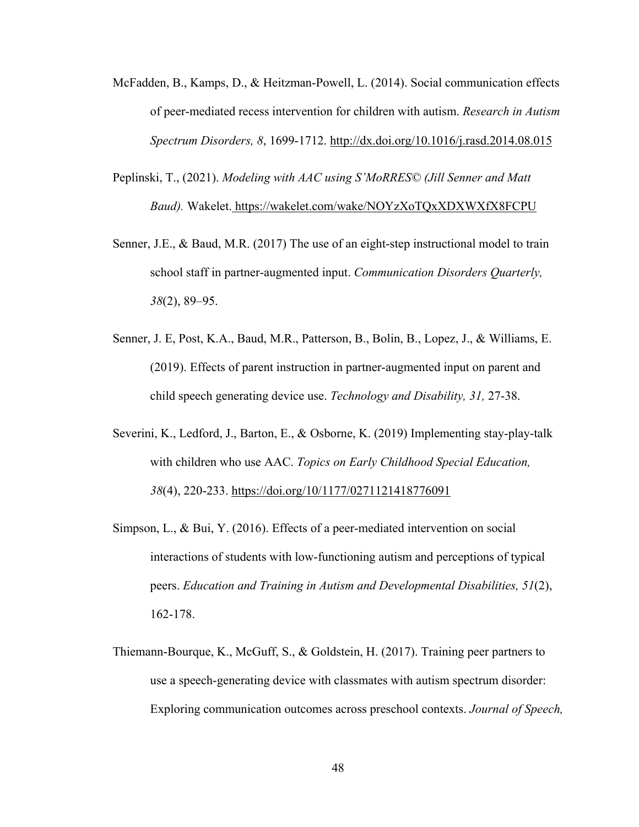- McFadden, B., Kamps, D., & Heitzman-Powell, L. (2014). Social communication effects of peer-mediated recess intervention for children with autism. *Research in Autism Spectrum Disorders, 8*, 1699-1712.<http://dx.doi.org/10.1016/j.rasd.2014.08.015>
- Peplinski, T., (2021). *Modeling with AAC using S'MoRRES© (Jill Senner and Matt Baud).* Wakelet. <https://wakelet.com/wake/NOYzXoTQxXDXWXfX8FCPU>
- Senner, J.E., & Baud, M.R. (2017) The use of an eight-step instructional model to train school staff in partner-augmented input. *Communication Disorders Quarterly, 38*(2), 89–95.
- Senner, J. E, Post, K.A., Baud, M.R., Patterson, B., Bolin, B., Lopez, J., & Williams, E. (2019). Effects of parent instruction in partner-augmented input on parent and child speech generating device use. *Technology and Disability, 31,* 27-38.
- Severini, K., Ledford, J., Barton, E., & Osborne, K. (2019) Implementing stay-play-talk with children who use AAC. *Topics on Early Childhood Special Education, 38*(4), 220-233.<https://doi.org/10/1177/0271121418776091>
- Simpson, L., & Bui, Y. (2016). Effects of a peer-mediated intervention on social interactions of students with low-functioning autism and perceptions of typical peers. *Education and Training in Autism and Developmental Disabilities, 51*(2), 162-178.
- Thiemann-Bourque, K., McGuff, S., & Goldstein, H. (2017). Training peer partners to use a speech-generating device with classmates with autism spectrum disorder: Exploring communication outcomes across preschool contexts. *Journal of Speech,*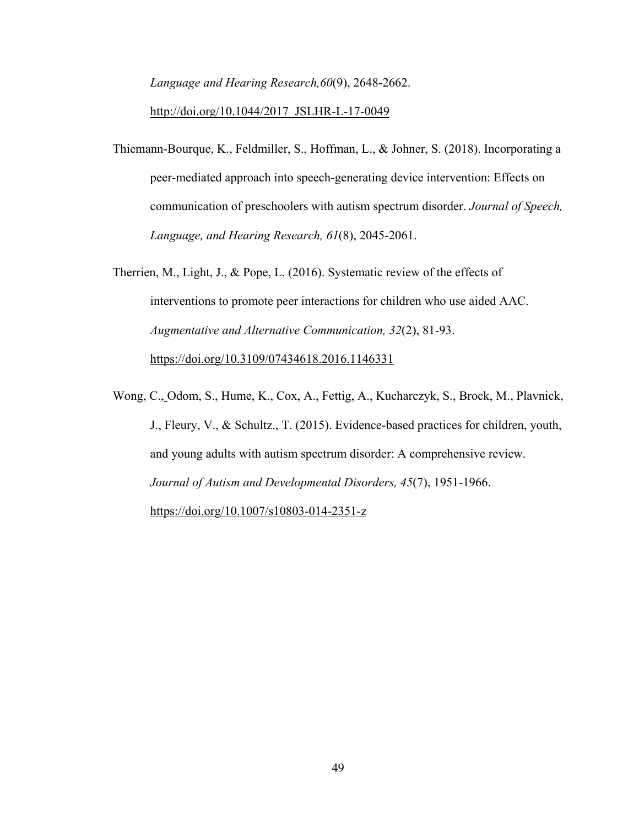*Language and Hearing Research,60*(9), 2648-2662.

#### [http://doi.org/10.1044/2017\\_JSLHR-L-17-0049](http://doi.org/10.1044/2017_JSLHR-L-17-0049)

- Thiemann-Bourque, K., Feldmiller, S., Hoffman, L., & Johner, S. (2018). Incorporating a peer-mediated approach into speech-generating device intervention: Effects on communication of preschoolers with autism spectrum disorder. *Journal of Speech, Language, and Hearing Research, 61*(8), 2045-2061.
- Therrien, M., Light, J., & Pope, L. (2016). Systematic review of the effects of interventions to promote peer interactions for children who use aided AAC. *Augmentative and Alternative Communication, 32*(2), 81-93. <https://doi.org/10.3109/07434618.2016.1146331>
- Wong, C., Odom, S., Hume, K., Cox, A., Fettig, A., Kucharczyk, S., Brock, M., Plavnick, J., Fleury, V., & Schultz., T. (2015). Evidence-based practices for children, youth, and young adults with autism spectrum disorder: A comprehensive review. *Journal of Autism and Developmental Disorders, 45*(7), 1951-1966. <https://doi.org/10.1007/s10803-014-2351-z>